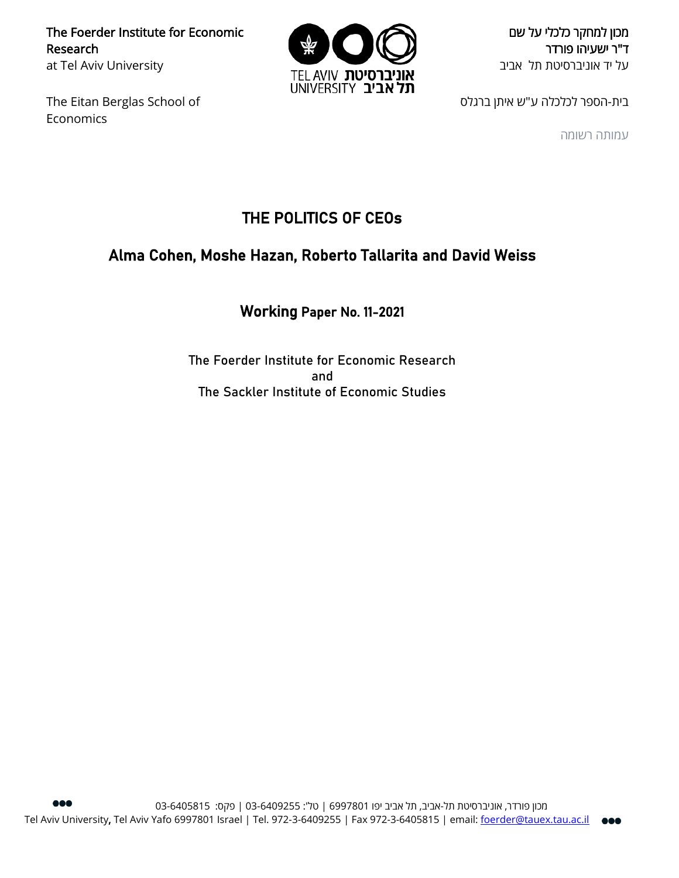The Foerder Institute for Economic Research at Tel Aviv University

The Eitan Berglas School of Economics



מכון למחקר כלכלי על שם ד"ר ישעיהו פורדר על יד אוניברסיטת תל אביב

בית-הספר לכלכלה ע"ש איתן ברגלס

עמותה רשומה

# THE POLITICS OF CEOs

# Alma Cohen, Moshe Hazan, Roberto Tallarita and David Weiss

Working Paper No. 11-2021

The Foerder Institute for Economic Research and The Sackler Institute of Economic Studies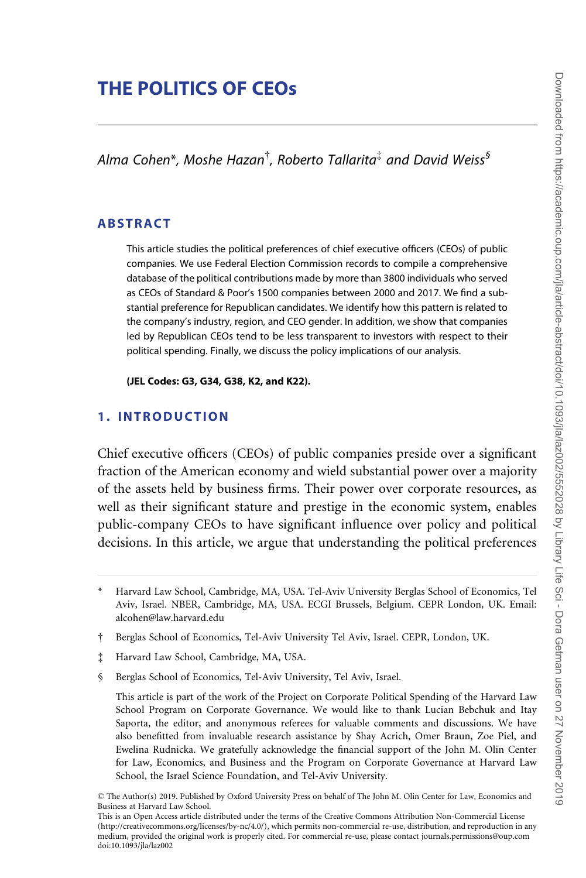# THE POLITICS OF CEOs

Alma Cohen\*, Moshe Hazan $^\dagger$ , Roberto Tallarita $^\ddagger$  and David Weiss $^{\mathfrak{S}}$ 

# ABSTRACT

This article studies the political preferences of chief executive officers (CEOs) of public companies. We use Federal Election Commission records to compile a comprehensive database of the political contributions made by more than 3800 individuals who served as CEOs of Standard & Poor's 1500 companies between 2000 and 2017. We find a substantial preference for Republican candidates. We identify how this pattern is related to the company's industry, region, and CEO gender. In addition, we show that companies led by Republican CEOs tend to be less transparent to investors with respect to their political spending. Finally, we discuss the policy implications of our analysis.

(JEL Codes: G3, G34, G38, K2, and K22).

# 1. INTRODUCTION

Chief executive officers (CEOs) of public companies preside over a significant fraction of the American economy and wield substantial power over a majority of the assets held by business firms. Their power over corporate resources, as well as their significant stature and prestige in the economic system, enables public-company CEOs to have significant influence over policy and political decisions. In this article, we argue that understanding the political preferences

- $\ddagger$  Harvard Law School, Cambridge, MA, USA.
- § Berglas School of Economics, Tel-Aviv University, Tel Aviv, Israel.

This article is part of the work of the Project on Corporate Political Spending of the Harvard Law School Program on Corporate Governance. We would like to thank Lucian Bebchuk and Itay Saporta, the editor, and anonymous referees for valuable comments and discussions. We have also benefitted from invaluable research assistance by Shay Acrich, Omer Braun, Zoe Piel, and Ewelina Rudnicka. We gratefully acknowledge the financial support of the John M. Olin Center for Law, Economics, and Business and the Program on Corporate Governance at Harvard Law School, the Israel Science Foundation, and Tel-Aviv University.

<sup>\*</sup> Harvard Law School, Cambridge, MA, USA. Tel-Aviv University Berglas School of Economics, Tel Aviv, Israel. NBER, Cambridge, MA, USA. ECGI Brussels, Belgium. CEPR London, UK. Email: alcohen@law.harvard.edu

Berglas School of Economics, Tel-Aviv University Tel Aviv, Israel. CEPR, London, UK.

 $\odot$  The Author(s) 2019. Published by Oxford University Press on behalf of The John M. Olin Center for Law, Economics and Business at Harvard Law School.

This is an Open Access article distributed under the terms of the Creative Commons Attribution Non-Commercial License (http://creativecommons.org/licenses/by-nc/4.0/), which permits non-commercial re-use, distribution, and reproduction in any medium, provided the original work is properly cited. For commercial re-use, please contact journals.permissions@oup.com doi:10.1093/jla/laz002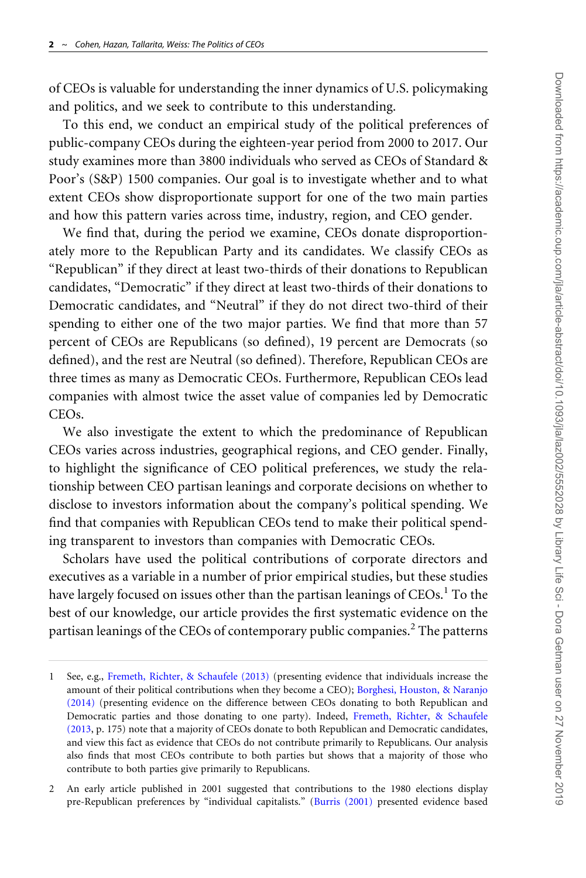of CEOs is valuable for understanding the inner dynamics of U.S. policymaking and politics, and we seek to contribute to this understanding.

To this end, we conduct an empirical study of the political preferences of public-company CEOs during the eighteen-year period from 2000 to 2017. Our study examines more than 3800 individuals who served as CEOs of Standard & Poor's (S&P) 1500 companies. Our goal is to investigate whether and to what extent CEOs show disproportionate support for one of the two main parties and how this pattern varies across time, industry, region, and CEO gender.

We find that, during the period we examine, CEOs donate disproportionately more to the Republican Party and its candidates. We classify CEOs as "Republican" if they direct at least two-thirds of their donations to Republican candidates, "Democratic" if they direct at least two-thirds of their donations to Democratic candidates, and "Neutral" if they do not direct two-third of their spending to either one of the two major parties. We find that more than 57 percent of CEOs are Republicans (so defined), 19 percent are Democrats (so defined), and the rest are Neutral (so defined). Therefore, Republican CEOs are three times as many as Democratic CEOs. Furthermore, Republican CEOs lead companies with almost twice the asset value of companies led by Democratic CEOs.

We also investigate the extent to which the predominance of Republican CEOs varies across industries, geographical regions, and CEO gender. Finally, to highlight the significance of CEO political preferences, we study the relationship between CEO partisan leanings and corporate decisions on whether to disclose to investors information about the company's political spending. We find that companies with Republican CEOs tend to make their political spending transparent to investors than companies with Democratic CEOs.

Scholars have used the political contributions of corporate directors and executives as a variable in a number of prior empirical studies, but these studies have largely focused on issues other than the partisan leanings of  $CEOs<sup>1</sup>$  To the best of our knowledge, our article provides the first systematic evidence on the partisan leanings of the CEOs of contemporary public companies.<sup>2</sup> The patterns

2 An early article published in 2001 suggested that contributions to the 1980 elections display pre-Republican preferences by "individual capitalists." [\(Burris \(2001\)](#page-41-0) presented evidence based

<sup>1</sup> See, e.g., [Fremeth, Richter, & Schaufele \(2013\)](#page-43-0) (presenting evidence that individuals increase the amount of their political contributions when they become a CEO); [Borghesi, Houston, & Naranjo](#page-41-0) [\(2014\)](#page-41-0) (presenting evidence on the difference between CEOs donating to both Republican and Democratic parties and those donating to one party). Indeed, [Fremeth, Richter, & Schaufele](#page-43-0) [\(2013,](#page-43-0) p. 175) note that a majority of CEOs donate to both Republican and Democratic candidates, and view this fact as evidence that CEOs do not contribute primarily to Republicans. Our analysis also finds that most CEOs contribute to both parties but shows that a majority of those who contribute to both parties give primarily to Republicans.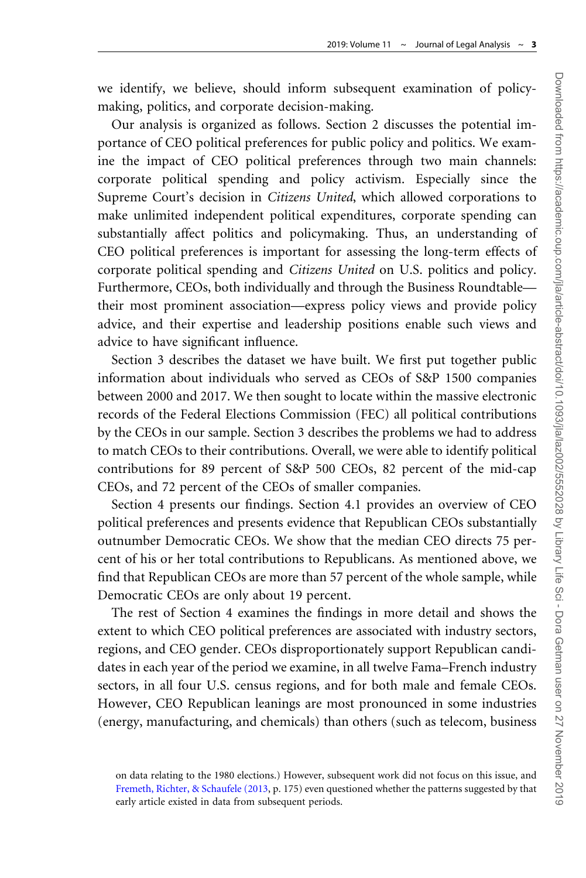we identify, we believe, should inform subsequent examination of policymaking, politics, and corporate decision-making.

Our analysis is organized as follows. Section 2 discusses the potential importance of CEO political preferences for public policy and politics. We examine the impact of CEO political preferences through two main channels: corporate political spending and policy activism. Especially since the Supreme Court's decision in Citizens United, which allowed corporations to make unlimited independent political expenditures, corporate spending can substantially affect politics and policymaking. Thus, an understanding of CEO political preferences is important for assessing the long-term effects of corporate political spending and Citizens United on U.S. politics and policy. Furthermore, CEOs, both individually and through the Business Roundtable their most prominent association—express policy views and provide policy advice, and their expertise and leadership positions enable such views and advice to have significant influence.

Section 3 describes the dataset we have built. We first put together public information about individuals who served as CEOs of S&P 1500 companies between 2000 and 2017. We then sought to locate within the massive electronic records of the Federal Elections Commission (FEC) all political contributions by the CEOs in our sample. Section 3 describes the problems we had to address to match CEOs to their contributions. Overall, we were able to identify political contributions for 89 percent of S&P 500 CEOs, 82 percent of the mid-cap CEOs, and 72 percent of the CEOs of smaller companies.

Section 4 presents our findings. Section 4.1 provides an overview of CEO political preferences and presents evidence that Republican CEOs substantially outnumber Democratic CEOs. We show that the median CEO directs 75 percent of his or her total contributions to Republicans. As mentioned above, we find that Republican CEOs are more than 57 percent of the whole sample, while Democratic CEOs are only about 19 percent.

The rest of Section 4 examines the findings in more detail and shows the extent to which CEO political preferences are associated with industry sectors, regions, and CEO gender. CEOs disproportionately support Republican candidates in each year of the period we examine, in all twelve Fama–French industry sectors, in all four U.S. census regions, and for both male and female CEOs. However, CEO Republican leanings are most pronounced in some industries (energy, manufacturing, and chemicals) than others (such as telecom, business

on data relating to the 1980 elections.) However, subsequent work did not focus on this issue, and [Fremeth, Richter, & Schaufele \(2013](#page-43-0), p. 175) even questioned whether the patterns suggested by that early article existed in data from subsequent periods.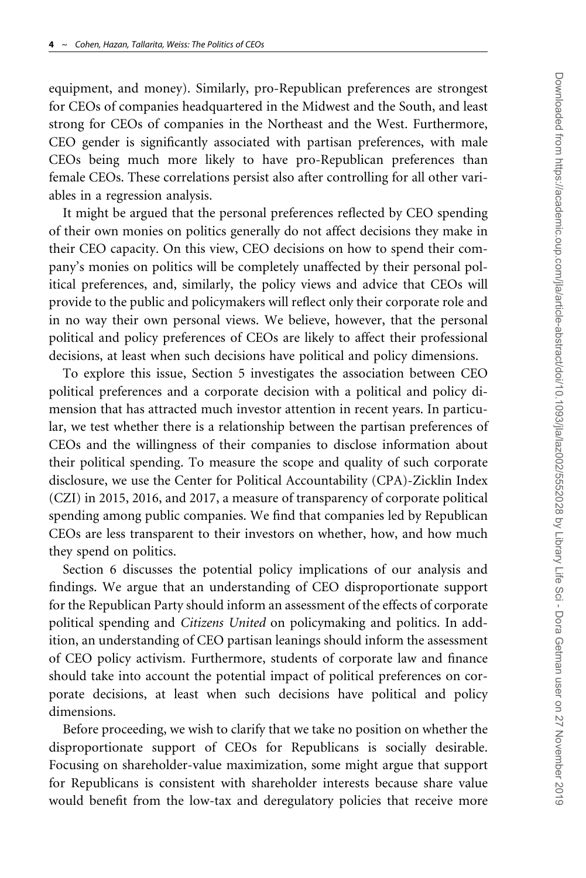equipment, and money). Similarly, pro-Republican preferences are strongest for CEOs of companies headquartered in the Midwest and the South, and least strong for CEOs of companies in the Northeast and the West. Furthermore, CEO gender is significantly associated with partisan preferences, with male CEOs being much more likely to have pro-Republican preferences than female CEOs. These correlations persist also after controlling for all other variables in a regression analysis.

It might be argued that the personal preferences reflected by CEO spending of their own monies on politics generally do not affect decisions they make in their CEO capacity. On this view, CEO decisions on how to spend their company's monies on politics will be completely unaffected by their personal political preferences, and, similarly, the policy views and advice that CEOs will provide to the public and policymakers will reflect only their corporate role and in no way their own personal views. We believe, however, that the personal political and policy preferences of CEOs are likely to affect their professional decisions, at least when such decisions have political and policy dimensions.

To explore this issue, Section 5 investigates the association between CEO political preferences and a corporate decision with a political and policy dimension that has attracted much investor attention in recent years. In particular, we test whether there is a relationship between the partisan preferences of CEOs and the willingness of their companies to disclose information about their political spending. To measure the scope and quality of such corporate disclosure, we use the Center for Political Accountability (CPA)-Zicklin Index (CZI) in 2015, 2016, and 2017, a measure of transparency of corporate political spending among public companies. We find that companies led by Republican CEOs are less transparent to their investors on whether, how, and how much they spend on politics.

Section 6 discusses the potential policy implications of our analysis and findings. We argue that an understanding of CEO disproportionate support for the Republican Party should inform an assessment of the effects of corporate political spending and Citizens United on policymaking and politics. In addition, an understanding of CEO partisan leanings should inform the assessment of CEO policy activism. Furthermore, students of corporate law and finance should take into account the potential impact of political preferences on corporate decisions, at least when such decisions have political and policy dimensions.

Before proceeding, we wish to clarify that we take no position on whether the disproportionate support of CEOs for Republicans is socially desirable. Focusing on shareholder-value maximization, some might argue that support for Republicans is consistent with shareholder interests because share value would benefit from the low-tax and deregulatory policies that receive more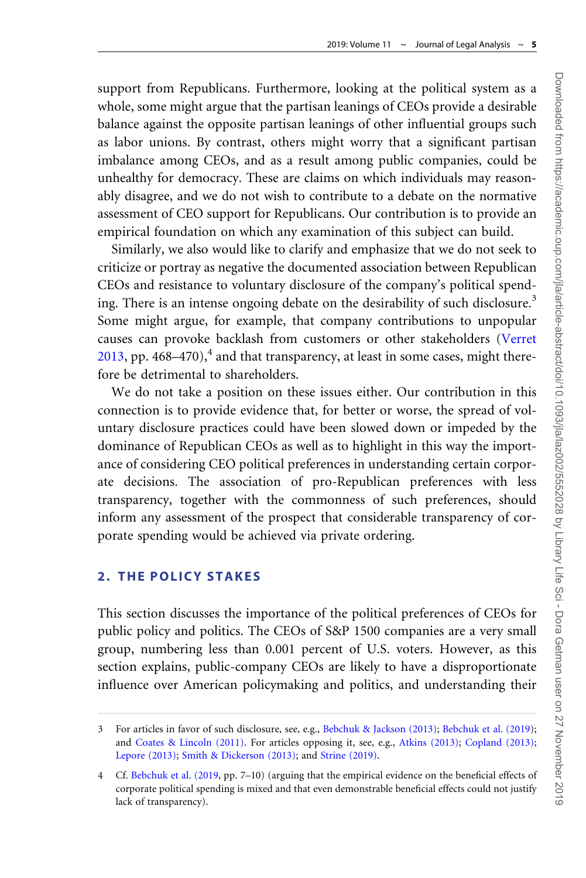support from Republicans. Furthermore, looking at the political system as a whole, some might argue that the partisan leanings of CEOs provide a desirable balance against the opposite partisan leanings of other influential groups such as labor unions. By contrast, others might worry that a significant partisan imbalance among CEOs, and as a result among public companies, could be unhealthy for democracy. These are claims on which individuals may reasonably disagree, and we do not wish to contribute to a debate on the normative assessment of CEO support for Republicans. Our contribution is to provide an empirical foundation on which any examination of this subject can build.

Similarly, we also would like to clarify and emphasize that we do not seek to criticize or portray as negative the documented association between Republican CEOs and resistance to voluntary disclosure of the company's political spending. There is an intense ongoing debate on the desirability of such disclosure.<sup>3</sup> Some might argue, for example, that company contributions to unpopular causes can provoke backlash from customers or other stakeholders ([Verret](#page-45-0) [2013,](#page-45-0) pp. 468–470),<sup>4</sup> and that transparency, at least in some cases, might therefore be detrimental to shareholders.

We do not take a position on these issues either. Our contribution in this connection is to provide evidence that, for better or worse, the spread of voluntary disclosure practices could have been slowed down or impeded by the dominance of Republican CEOs as well as to highlight in this way the importance of considering CEO political preferences in understanding certain corporate decisions. The association of pro-Republican preferences with less transparency, together with the commonness of such preferences, should inform any assessment of the prospect that considerable transparency of corporate spending would be achieved via private ordering.

# 2. THE POLICY STAKES

This section discusses the importance of the political preferences of CEOs for public policy and politics. The CEOs of S&P 1500 companies are a very small group, numbering less than 0.001 percent of U.S. voters. However, as this section explains, public-company CEOs are likely to have a disproportionate influence over American policymaking and politics, and understanding their

<sup>3</sup> For articles in favor of such disclosure, see, e.g., [Bebchuk & Jackson \(2013\)](#page-41-0); [Bebchuk et al. \(2019](#page-41-0)); and [Coates & Lincoln \(2011\)](#page-42-0). For articles opposing it, see, e.g., [Atkins \(2013\);](#page-41-0) [Copland \(2013\)](#page-42-0); [Lepore \(2013\)](#page-43-0); [Smith & Dickerson \(2013\)](#page-44-0); and [Strine \(2019\).](#page-44-0)

<sup>4</sup> Cf. [Bebchuk et al. \(2019,](#page-41-0) pp. 7–10) (arguing that the empirical evidence on the beneficial effects of corporate political spending is mixed and that even demonstrable beneficial effects could not justify lack of transparency).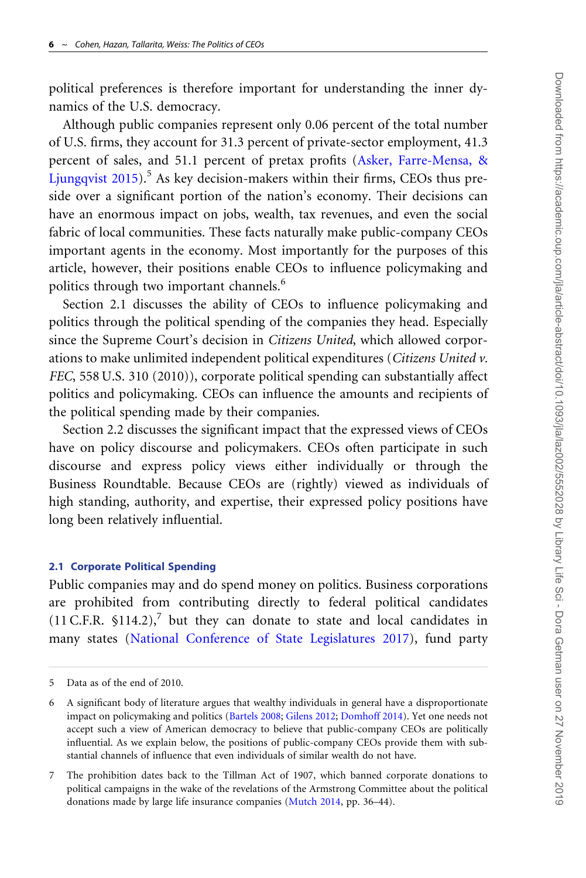political preferences is therefore important for understanding the inner dynamics of the U.S. democracy.

Although public companies represent only 0.06 percent of the total number of U.S. firms, they account for 31.3 percent of private-sector employment, 41.3 percent of sales, and 51.1 percent of pretax profits ([Asker, Farre-Mensa, &](#page-40-0) Ljungqvist  $2015$ <sup>5</sup>. As key decision-makers within their firms, CEOs thus preside over a significant portion of the nation's economy. Their decisions can have an enormous impact on jobs, wealth, tax revenues, and even the social fabric of local communities. These facts naturally make public-company CEOs important agents in the economy. Most importantly for the purposes of this article, however, their positions enable CEOs to influence policymaking and politics through two important channels.<sup>6</sup>

Section 2.1 discusses the ability of CEOs to influence policymaking and politics through the political spending of the companies they head. Especially since the Supreme Court's decision in Citizens United, which allowed corporations to make unlimited independent political expenditures (Citizens United v. FEC, 558 U.S. 310 (2010)), corporate political spending can substantially affect politics and policymaking. CEOs can influence the amounts and recipients of the political spending made by their companies.

Section 2.2 discusses the significant impact that the expressed views of CEOs have on policy discourse and policymakers. CEOs often participate in such discourse and express policy views either individually or through the Business Roundtable. Because CEOs are (rightly) viewed as individuals of high standing, authority, and expertise, their expressed policy positions have long been relatively influential.

## 2.1 Corporate Political Spending

Public companies may and do spend money on politics. Business corporations are prohibited from contributing directly to federal political candidates  $(11 \text{ C.F.R. } $114.2)$ , but they can donate to state and local candidates in many states [\(National Conference of State Legislatures 2017](#page-44-0)), fund party

<sup>5</sup> Data as of the end of 2010.

<sup>6</sup> A significant body of literature argues that wealthy individuals in general have a disproportionate impact on policymaking and politics [\(Bartels 2008](#page-41-0); [Gilens 2012](#page-43-0); [Domhoff 2014](#page-42-0)). Yet one needs not accept such a view of American democracy to believe that public-company CEOs are politically influential. As we explain below, the positions of public-company CEOs provide them with substantial channels of influence that even individuals of similar wealth do not have.

<sup>7</sup> The prohibition dates back to the Tillman Act of 1907, which banned corporate donations to political campaigns in the wake of the revelations of the Armstrong Committee about the political donations made by large life insurance companies [\(Mutch 2014](#page-43-0), pp. 36–44).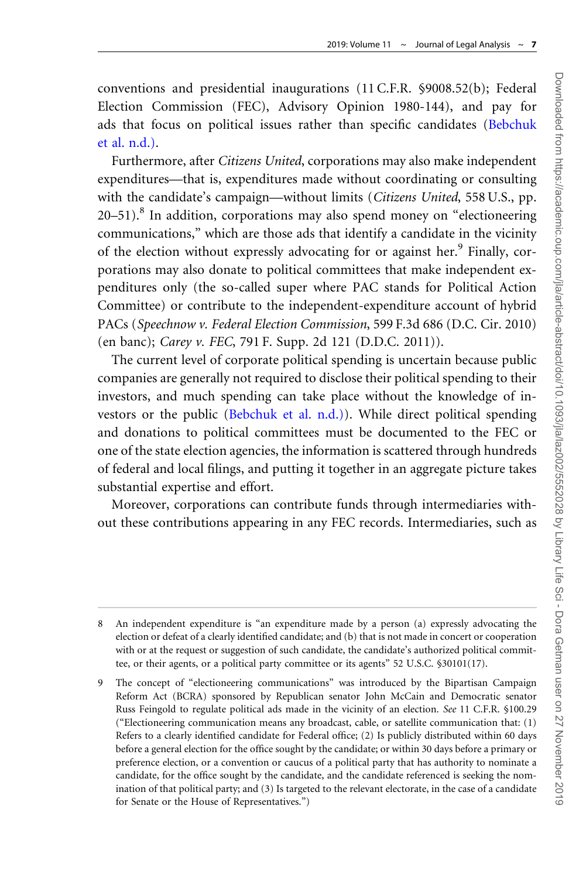conventions and presidential inaugurations (11 C.F.R. §9008.52(b); Federal Election Commission (FEC), Advisory Opinion 1980-144), and pay for ads that focus on political issues rather than specific candidates ([Bebchuk](#page-41-0) [et al. n.d.\)](#page-41-0).

Furthermore, after Citizens United, corporations may also make independent expenditures—that is, expenditures made without coordinating or consulting with the candidate's campaign—without limits (Citizens United, 558 U.S., pp.  $20-51$ <sup>8</sup>. In addition, corporations may also spend money on "electioneering" communications," which are those ads that identify a candidate in the vicinity of the election without expressly advocating for or against her.<sup>9</sup> Finally, corporations may also donate to political committees that make independent expenditures only (the so-called super where PAC stands for Political Action Committee) or contribute to the independent-expenditure account of hybrid PACs (Speechnow v. Federal Election Commission, 599 F.3d 686 (D.C. Cir. 2010) (en banc); Carey v. FEC, 791 F. Supp. 2d 121 (D.D.C. 2011)).

The current level of corporate political spending is uncertain because public companies are generally not required to disclose their political spending to their investors, and much spending can take place without the knowledge of investors or the public ([Bebchuk et al. n.d.\)\)](#page-41-0). While direct political spending and donations to political committees must be documented to the FEC or one of the state election agencies, the information is scattered through hundreds of federal and local filings, and putting it together in an aggregate picture takes substantial expertise and effort.

Moreover, corporations can contribute funds through intermediaries without these contributions appearing in any FEC records. Intermediaries, such as

<sup>8</sup> An independent expenditure is "an expenditure made by a person (a) expressly advocating the election or defeat of a clearly identified candidate; and (b) that is not made in concert or cooperation with or at the request or suggestion of such candidate, the candidate's authorized political committee, or their agents, or a political party committee or its agents" 52 U.S.C. §30101(17).

<sup>9</sup> The concept of "electioneering communications" was introduced by the Bipartisan Campaign Reform Act (BCRA) sponsored by Republican senator John McCain and Democratic senator Russ Feingold to regulate political ads made in the vicinity of an election. See 11 C.F.R. §100.29 ("Electioneering communication means any broadcast, cable, or satellite communication that: (1) Refers to a clearly identified candidate for Federal office; (2) Is publicly distributed within 60 days before a general election for the office sought by the candidate; or within 30 days before a primary or preference election, or a convention or caucus of a political party that has authority to nominate a candidate, for the office sought by the candidate, and the candidate referenced is seeking the nomination of that political party; and (3) Is targeted to the relevant electorate, in the case of a candidate for Senate or the House of Representatives.")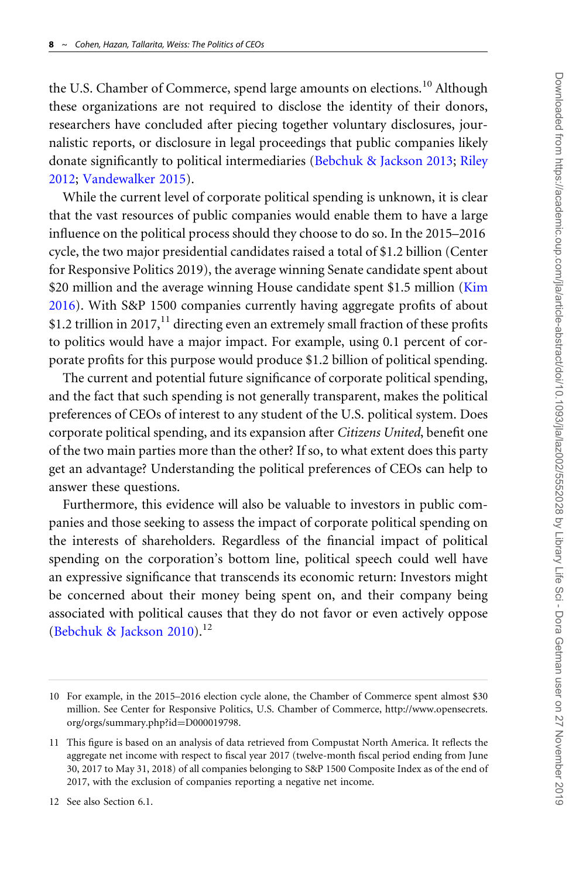the U.S. Chamber of Commerce, spend large amounts on elections.<sup>10</sup> Although these organizations are not required to disclose the identity of their donors, researchers have concluded after piecing together voluntary disclosures, journalistic reports, or disclosure in legal proceedings that public companies likely donate significantly to political intermediaries ([Bebchuk & Jackson 2013](#page-41-0); [Riley](#page-44-0) [2012;](#page-44-0) [Vandewalker 2015](#page-44-0)).

While the current level of corporate political spending is unknown, it is clear that the vast resources of public companies would enable them to have a large influence on the political process should they choose to do so. In the 2015–2016 cycle, the two major presidential candidates raised a total of \$1.2 billion (Center for Responsive Politics 2019), the average winning Senate candidate spent about \$20 million and the average winning House candidate spent \$1.5 million [\(Kim](#page-43-0) [2016\)](#page-43-0). With S&P 1500 companies currently having aggregate profits of about \$1.2 trillion in 2017,<sup>11</sup> directing even an extremely small fraction of these profits to politics would have a major impact. For example, using 0.1 percent of corporate profits for this purpose would produce \$1.2 billion of political spending.

The current and potential future significance of corporate political spending, and the fact that such spending is not generally transparent, makes the political preferences of CEOs of interest to any student of the U.S. political system. Does corporate political spending, and its expansion after Citizens United, benefit one of the two main parties more than the other? If so, to what extent does this party get an advantage? Understanding the political preferences of CEOs can help to answer these questions.

Furthermore, this evidence will also be valuable to investors in public companies and those seeking to assess the impact of corporate political spending on the interests of shareholders. Regardless of the financial impact of political spending on the corporation's bottom line, political speech could well have an expressive significance that transcends its economic return: Investors might be concerned about their money being spent on, and their company being associated with political causes that they do not favor or even actively oppose ([Bebchuk & Jackson 2010](#page-41-0)).<sup>12</sup>

12 See also Section 6.1.

<sup>10</sup> For example, in the 2015–2016 election cycle alone, the Chamber of Commerce spent almost \$30 million. See Center for Responsive Politics, U.S. Chamber of Commerce, [http://www.opensecrets.](http://www.opensecrets.org/orgs/summary.php?id=D000019798) [org/orgs/summary.php?id](http://www.opensecrets.org/orgs/summary.php?id=D000019798)=[D000019798](http://www.opensecrets.org/orgs/summary.php?id=D000019798).

<sup>11</sup> This figure is based on an analysis of data retrieved from Compustat North America. It reflects the aggregate net income with respect to fiscal year 2017 (twelve-month fiscal period ending from June 30, 2017 to May 31, 2018) of all companies belonging to S&P 1500 Composite Index as of the end of 2017, with the exclusion of companies reporting a negative net income.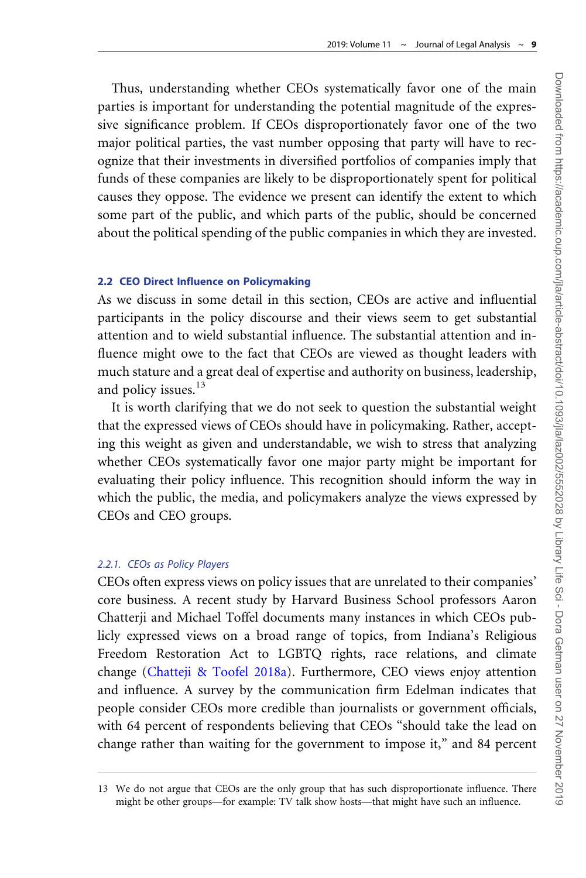Thus, understanding whether CEOs systematically favor one of the main parties is important for understanding the potential magnitude of the expressive significance problem. If CEOs disproportionately favor one of the two major political parties, the vast number opposing that party will have to recognize that their investments in diversified portfolios of companies imply that funds of these companies are likely to be disproportionately spent for political causes they oppose. The evidence we present can identify the extent to which some part of the public, and which parts of the public, should be concerned about the political spending of the public companies in which they are invested.

# 2.2 CEO Direct Influence on Policymaking

As we discuss in some detail in this section, CEOs are active and influential participants in the policy discourse and their views seem to get substantial attention and to wield substantial influence. The substantial attention and influence might owe to the fact that CEOs are viewed as thought leaders with much stature and a great deal of expertise and authority on business, leadership, and policy issues.<sup>13</sup>

It is worth clarifying that we do not seek to question the substantial weight that the expressed views of CEOs should have in policymaking. Rather, accepting this weight as given and understandable, we wish to stress that analyzing whether CEOs systematically favor one major party might be important for evaluating their policy influence. This recognition should inform the way in which the public, the media, and policymakers analyze the views expressed by CEOs and CEO groups.

# 2.2.1. CEOs as Policy Players

CEOs often express views on policy issues that are unrelated to their companies' core business. A recent study by Harvard Business School professors Aaron Chatterji and Michael Toffel documents many instances in which CEOs publicly expressed views on a broad range of topics, from Indiana's Religious Freedom Restoration Act to LGBTQ rights, race relations, and climate change [\(Chatteji & Toofel 2018a\)](#page-42-0). Furthermore, CEO views enjoy attention and influence. A survey by the communication firm Edelman indicates that people consider CEOs more credible than journalists or government officials, with 64 percent of respondents believing that CEOs "should take the lead on change rather than waiting for the government to impose it," and 84 percent

<sup>13</sup> We do not argue that CEOs are the only group that has such disproportionate influence. There might be other groups––for example: TV talk show hosts––that might have such an influence.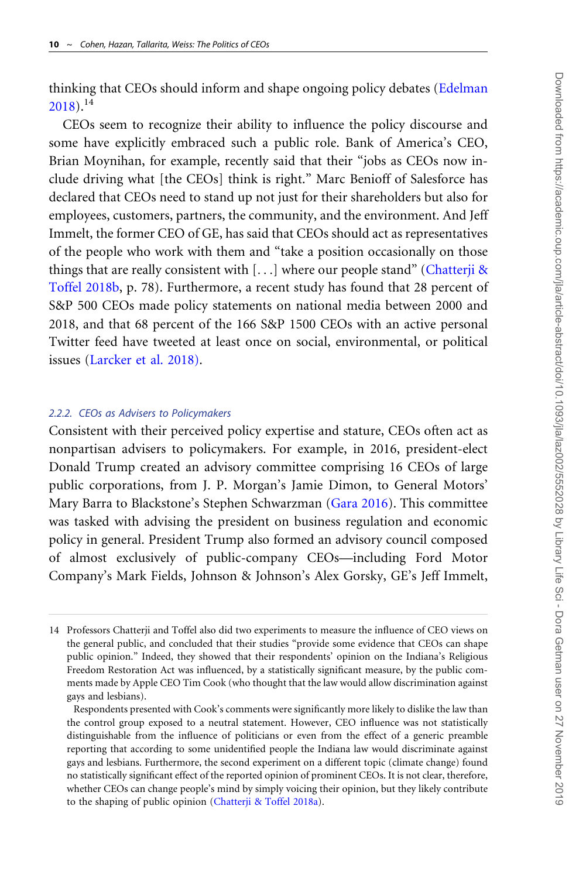thinking that CEOs should inform and shape ongoing policy debates [\(Edelman](#page-42-0)  $2018$ ).<sup>14</sup>

CEOs seem to recognize their ability to influence the policy discourse and some have explicitly embraced such a public role. Bank of America's CEO, Brian Moynihan, for example, recently said that their "jobs as CEOs now include driving what [the CEOs] think is right." Marc Benioff of Salesforce has declared that CEOs need to stand up not just for their shareholders but also for employees, customers, partners, the community, and the environment. And Jeff Immelt, the former CEO of GE, has said that CEOs should act as representatives of the people who work with them and "take a position occasionally on those things that are really consistent with [ $\dots$ ] where our people stand" ([Chatterji &](#page-42-0) [Toffel 2018b](#page-42-0), p. 78). Furthermore, a recent study has found that 28 percent of S&P 500 CEOs made policy statements on national media between 2000 and 2018, and that 68 percent of the 166 S&P 1500 CEOs with an active personal Twitter feed have tweeted at least once on social, environmental, or political issues ([Larcker et al. 2018\).](#page-43-0)

## 2.2.2. CEOs as Advisers to Policymakers

Consistent with their perceived policy expertise and stature, CEOs often act as nonpartisan advisers to policymakers. For example, in 2016, president-elect Donald Trump created an advisory committee comprising 16 CEOs of large public corporations, from J. P. Morgan's Jamie Dimon, to General Motors' Mary Barra to Blackstone's Stephen Schwarzman [\(Gara 2016](#page-43-0)). This committee was tasked with advising the president on business regulation and economic policy in general. President Trump also formed an advisory council composed of almost exclusively of public-company CEOs—including Ford Motor Company's Mark Fields, Johnson & Johnson's Alex Gorsky, GE's Jeff Immelt,

<sup>14</sup> Professors Chatterji and Toffel also did two experiments to measure the influence of CEO views on the general public, and concluded that their studies "provide some evidence that CEOs can shape public opinion." Indeed, they showed that their respondents' opinion on the Indiana's Religious Freedom Restoration Act was influenced, by a statistically significant measure, by the public comments made by Apple CEO Tim Cook (who thought that the law would allow discrimination against gays and lesbians).

Respondents presented with Cook's comments were significantly more likely to dislike the law than the control group exposed to a neutral statement. However, CEO influence was not statistically distinguishable from the influence of politicians or even from the effect of a generic preamble reporting that according to some unidentified people the Indiana law would discriminate against gays and lesbians. Furthermore, the second experiment on a different topic (climate change) found no statistically significant effect of the reported opinion of prominent CEOs. It is not clear, therefore, whether CEOs can change people's mind by simply voicing their opinion, but they likely contribute to the shaping of public opinion [\(Chatterji & Toffel 2018a](#page-42-0)).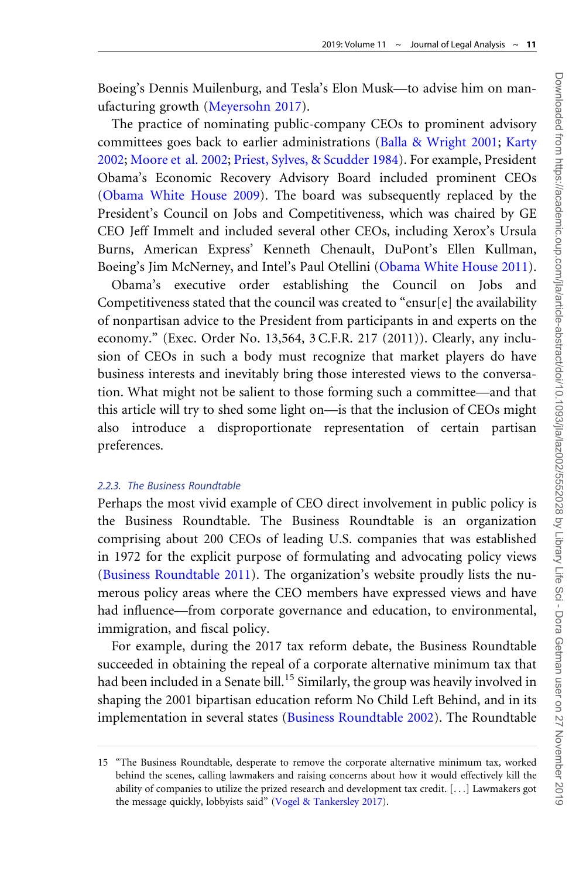Boeing's Dennis Muilenburg, and Tesla's Elon Musk—to advise him on manufacturing growth ([Meyersohn 2017\)](#page-43-0).

The practice of nominating public-company CEOs to prominent advisory committees goes back to earlier administrations [\(Balla & Wright 2001](#page-41-0); [Karty](#page-43-0) [2002;](#page-43-0) [Moore et al. 2002](#page-43-0); [Priest, Sylves, & Scudder 1984\)](#page-44-0). For example, President Obama's Economic Recovery Advisory Board included prominent CEOs ([Obama White House 2009](#page-44-0)). The board was subsequently replaced by the President's Council on Jobs and Competitiveness, which was chaired by GE CEO Jeff Immelt and included several other CEOs, including Xerox's Ursula Burns, American Express' Kenneth Chenault, DuPont's Ellen Kullman, Boeing's Jim McNerney, and Intel's Paul Otellini ([Obama White House 2011\)](#page-44-0).

Obama's executive order establishing the Council on Jobs and Competitiveness stated that the council was created to "ensur[e] the availability of nonpartisan advice to the President from participants in and experts on the economy." (Exec. Order No. 13,564, 3 C.F.R. 217 (2011)). Clearly, any inclusion of CEOs in such a body must recognize that market players do have business interests and inevitably bring those interested views to the conversation. What might not be salient to those forming such a committee—and that this article will try to shed some light on—is that the inclusion of CEOs might also introduce a disproportionate representation of certain partisan preferences.

## 2.2.3. The Business Roundtable

Perhaps the most vivid example of CEO direct involvement in public policy is the Business Roundtable. The Business Roundtable is an organization comprising about 200 CEOs of leading U.S. companies that was established in 1972 for the explicit purpose of formulating and advocating policy views ([Business Roundtable 2011\)](#page-41-0). The organization's website proudly lists the numerous policy areas where the CEO members have expressed views and have had influence—from corporate governance and education, to environmental, immigration, and fiscal policy.

For example, during the 2017 tax reform debate, the Business Roundtable succeeded in obtaining the repeal of a corporate alternative minimum tax that had been included in a Senate bill.<sup>15</sup> Similarly, the group was heavily involved in shaping the 2001 bipartisan education reform No Child Left Behind, and in its implementation in several states ([Business Roundtable 2002\)](#page-41-0). The Roundtable

<sup>15 &</sup>quot;The Business Roundtable, desperate to remove the corporate alternative minimum tax, worked behind the scenes, calling lawmakers and raising concerns about how it would effectively kill the ability of companies to utilize the prized research and development tax credit. [...] Lawmakers got the message quickly, lobbyists said" ([Vogel & Tankersley 2017\)](#page-45-0).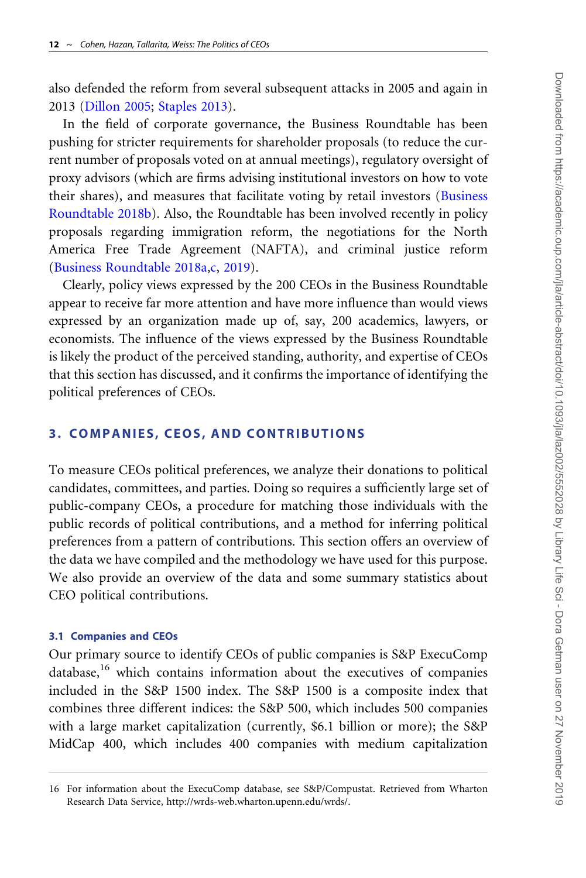also defended the reform from several subsequent attacks in 2005 and again in 2013 ([Dillon 2005;](#page-42-0) [Staples 2013\)](#page-44-0).

In the field of corporate governance, the Business Roundtable has been pushing for stricter requirements for shareholder proposals (to reduce the current number of proposals voted on at annual meetings), regulatory oversight of proxy advisors (which are firms advising institutional investors on how to vote their shares), and measures that facilitate voting by retail investors ([Business](#page-42-0) [Roundtable 2018b](#page-42-0)). Also, the Roundtable has been involved recently in policy proposals regarding immigration reform, the negotiations for the North America Free Trade Agreement (NAFTA), and criminal justice reform ([Business Roundtable 2018a](#page-41-0),[c](#page-42-0), [2019](#page-42-0)).

Clearly, policy views expressed by the 200 CEOs in the Business Roundtable appear to receive far more attention and have more influence than would views expressed by an organization made up of, say, 200 academics, lawyers, or economists. The influence of the views expressed by the Business Roundtable is likely the product of the perceived standing, authority, and expertise of CEOs that this section has discussed, and it confirms the importance of identifying the political preferences of CEOs.

# 3. COMPANIES, CEOS, AND CONTRIBUTIONS

To measure CEOs political preferences, we analyze their donations to political candidates, committees, and parties. Doing so requires a sufficiently large set of public-company CEOs, a procedure for matching those individuals with the public records of political contributions, and a method for inferring political preferences from a pattern of contributions. This section offers an overview of the data we have compiled and the methodology we have used for this purpose. We also provide an overview of the data and some summary statistics about CEO political contributions.

# 3.1 Companies and CEOs

Our primary source to identify CEOs of public companies is S&P ExecuComp database,<sup>16</sup> which contains information about the executives of companies included in the S&P 1500 index. The S&P 1500 is a composite index that combines three different indices: the S&P 500, which includes 500 companies with a large market capitalization (currently, \$6.1 billion or more); the S&P MidCap 400, which includes 400 companies with medium capitalization

<sup>16</sup> For information about the ExecuComp database, see S&P/Compustat. Retrieved from Wharton Research Data Service, [http://wrds-web.wharton.upenn.edu/wrds/.](http://wrds-web.wharton.upenn.edu/wrds/)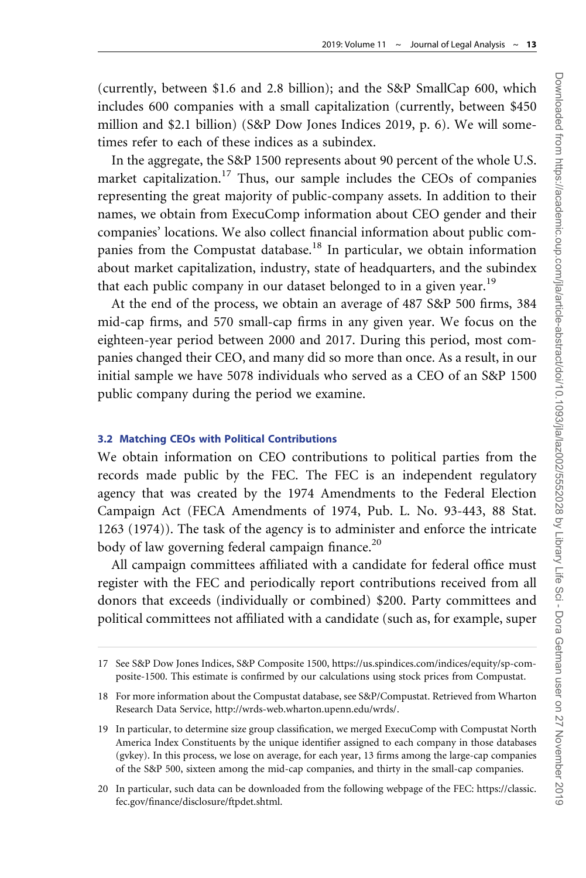(currently, between \$1.6 and 2.8 billion); and the S&P SmallCap 600, which includes 600 companies with a small capitalization (currently, between \$450 million and \$2.1 billion) (S&P Dow Jones Indices 2019, p. 6). We will sometimes refer to each of these indices as a subindex.

In the aggregate, the S&P 1500 represents about 90 percent of the whole U.S. market capitalization.<sup>17</sup> Thus, our sample includes the CEOs of companies representing the great majority of public-company assets. In addition to their names, we obtain from ExecuComp information about CEO gender and their companies' locations. We also collect financial information about public companies from the Compustat database.<sup>18</sup> In particular, we obtain information about market capitalization, industry, state of headquarters, and the subindex that each public company in our dataset belonged to in a given year.<sup>19</sup>

At the end of the process, we obtain an average of 487 S&P 500 firms, 384 mid-cap firms, and 570 small-cap firms in any given year. We focus on the eighteen-year period between 2000 and 2017. During this period, most companies changed their CEO, and many did so more than once. As a result, in our initial sample we have 5078 individuals who served as a CEO of an S&P 1500 public company during the period we examine.

#### 3.2 Matching CEOs with Political Contributions

We obtain information on CEO contributions to political parties from the records made public by the FEC. The FEC is an independent regulatory agency that was created by the 1974 Amendments to the Federal Election Campaign Act (FECA Amendments of 1974, Pub. L. No. 93-443, 88 Stat. 1263 (1974)). The task of the agency is to administer and enforce the intricate body of law governing federal campaign finance.<sup>20</sup>

All campaign committees affiliated with a candidate for federal office must register with the FEC and periodically report contributions received from all donors that exceeds (individually or combined) \$200. Party committees and political committees not affiliated with a candidate (such as, for example, super

<sup>17</sup> See S&P Dow Jones Indices, S&P Composite 1500, [https://us.spindices.com/indices/equity/sp-com](https://us.spindices.com/indices/equity/sp-composite-1500)[posite-1500.](https://us.spindices.com/indices/equity/sp-composite-1500) This estimate is confirmed by our calculations using stock prices from Compustat.

<sup>18</sup> For more information about the Compustat database, see S&P/Compustat. Retrieved from Wharton Research Data Service, [http://wrds-web.wharton.upenn.edu/wrds/.](http://wrds-web.wharton.upenn.edu/wrds/)

<sup>19</sup> In particular, to determine size group classification, we merged ExecuComp with Compustat North America Index Constituents by the unique identifier assigned to each company in those databases (gvkey). In this process, we lose on average, for each year, 13 firms among the large-cap companies of the S&P 500, sixteen among the mid-cap companies, and thirty in the small-cap companies.

<sup>20</sup> In particular, such data can be downloaded from the following webpage of the FEC: [https://classic.](https://classic.fec.gov/finance/disclosure/ftpdet.shtml) [fec.gov/finance/disclosure/ftpdet.shtml.](https://classic.fec.gov/finance/disclosure/ftpdet.shtml)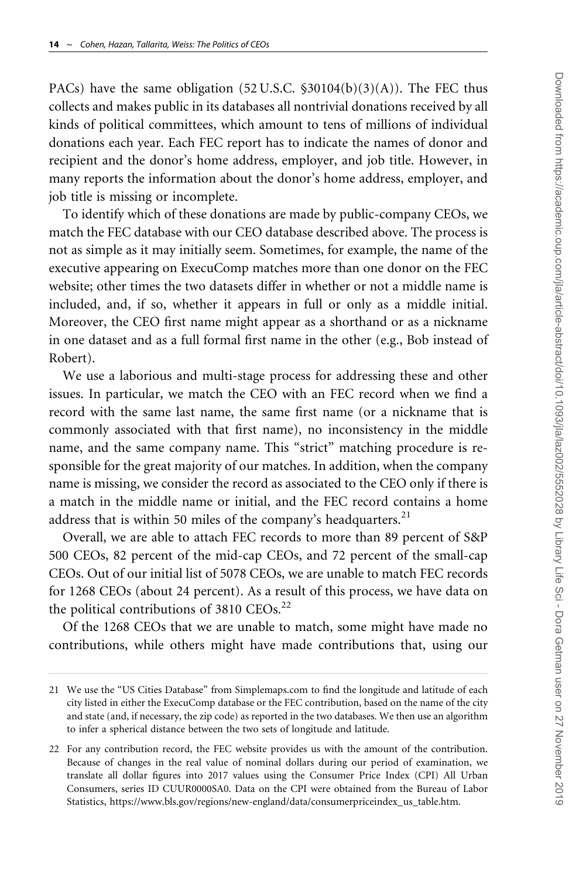PACs) have the same obligation  $(52 \text{ U.S.C. } $30104(b)(3)(\text{A}))$ . The FEC thus collects and makes public in its databases all nontrivial donations received by all kinds of political committees, which amount to tens of millions of individual donations each year. Each FEC report has to indicate the names of donor and recipient and the donor's home address, employer, and job title. However, in many reports the information about the donor's home address, employer, and job title is missing or incomplete.

To identify which of these donations are made by public-company CEOs, we match the FEC database with our CEO database described above. The process is not as simple as it may initially seem. Sometimes, for example, the name of the executive appearing on ExecuComp matches more than one donor on the FEC website; other times the two datasets differ in whether or not a middle name is included, and, if so, whether it appears in full or only as a middle initial. Moreover, the CEO first name might appear as a shorthand or as a nickname in one dataset and as a full formal first name in the other (e.g., Bob instead of Robert).

We use a laborious and multi-stage process for addressing these and other issues. In particular, we match the CEO with an FEC record when we find a record with the same last name, the same first name (or a nickname that is commonly associated with that first name), no inconsistency in the middle name, and the same company name. This "strict" matching procedure is responsible for the great majority of our matches. In addition, when the company name is missing, we consider the record as associated to the CEO only if there is a match in the middle name or initial, and the FEC record contains a home address that is within 50 miles of the company's headquarters. $^{21}$ 

Overall, we are able to attach FEC records to more than 89 percent of S&P 500 CEOs, 82 percent of the mid-cap CEOs, and 72 percent of the small-cap CEOs. Out of our initial list of 5078 CEOs, we are unable to match FEC records for 1268 CEOs (about 24 percent). As a result of this process, we have data on the political contributions of  $3810$  CEOs.<sup>22</sup>

Of the 1268 CEOs that we are unable to match, some might have made no contributions, while others might have made contributions that, using our

<sup>21</sup> We use the "US Cities Database" from Simplemaps.com to find the longitude and latitude of each city listed in either the ExecuComp database or the FEC contribution, based on the name of the city and state (and, if necessary, the zip code) as reported in the two databases. We then use an algorithm to infer a spherical distance between the two sets of longitude and latitude.

<sup>22</sup> For any contribution record, the FEC website provides us with the amount of the contribution. Because of changes in the real value of nominal dollars during our period of examination, we translate all dollar figures into 2017 values using the Consumer Price Index (CPI) All Urban Consumers, series ID CUUR0000SA0. Data on the CPI were obtained from the Bureau of Labor Statistics, [https://www.bls.gov/regions/new-england/data/consumerpriceindex\\_us\\_table.htm](https://www.bls.gov/regions/new-england/data/consumerpriceindex_us_table.htm).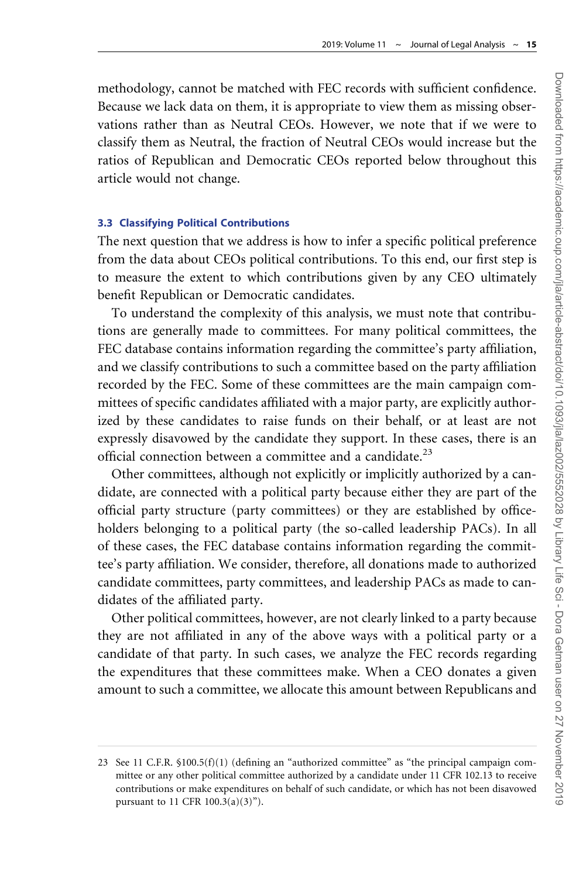methodology, cannot be matched with FEC records with sufficient confidence. Because we lack data on them, it is appropriate to view them as missing observations rather than as Neutral CEOs. However, we note that if we were to classify them as Neutral, the fraction of Neutral CEOs would increase but the ratios of Republican and Democratic CEOs reported below throughout this article would not change.

#### 3.3 Classifying Political Contributions

The next question that we address is how to infer a specific political preference from the data about CEOs political contributions. To this end, our first step is to measure the extent to which contributions given by any CEO ultimately benefit Republican or Democratic candidates.

To understand the complexity of this analysis, we must note that contributions are generally made to committees. For many political committees, the FEC database contains information regarding the committee's party affiliation, and we classify contributions to such a committee based on the party affiliation recorded by the FEC. Some of these committees are the main campaign committees of specific candidates affiliated with a major party, are explicitly authorized by these candidates to raise funds on their behalf, or at least are not expressly disavowed by the candidate they support. In these cases, there is an official connection between a committee and a candidate.<sup>23</sup>

Other committees, although not explicitly or implicitly authorized by a candidate, are connected with a political party because either they are part of the official party structure (party committees) or they are established by officeholders belonging to a political party (the so-called leadership PACs). In all of these cases, the FEC database contains information regarding the committee's party affiliation. We consider, therefore, all donations made to authorized candidate committees, party committees, and leadership PACs as made to candidates of the affiliated party.

Other political committees, however, are not clearly linked to a party because they are not affiliated in any of the above ways with a political party or a candidate of that party. In such cases, we analyze the FEC records regarding the expenditures that these committees make. When a CEO donates a given amount to such a committee, we allocate this amount between Republicans and

<sup>23</sup> See 11 C.F.R. §100.5(f)(1) (defining an "authorized committee" as "the principal campaign committee or any other political committee authorized by a candidate under 11 CFR 102.13 to receive contributions or make expenditures on behalf of such candidate, or which has not been disavowed pursuant to 11 CFR 100.3(a)(3)").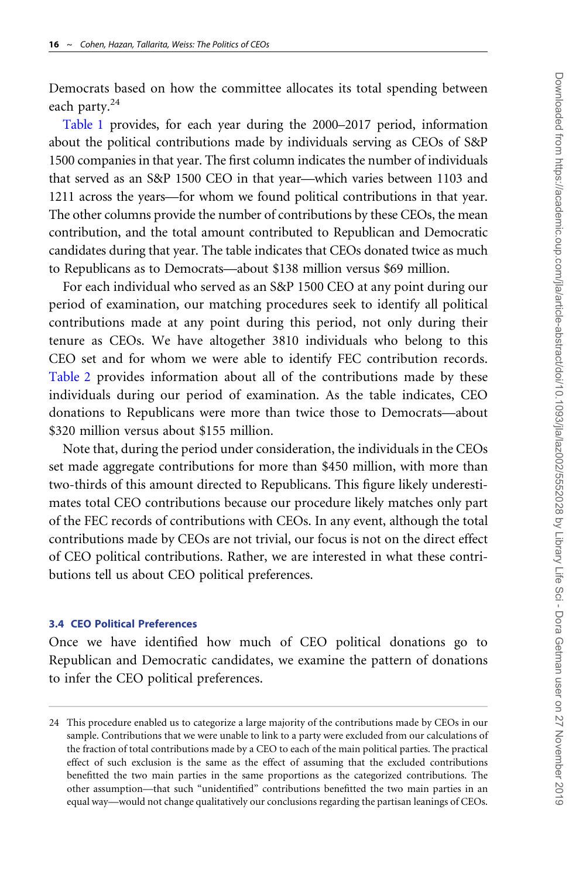Democrats based on how the committee allocates its total spending between each party.<sup>24</sup>

[Table 1](#page-17-0) provides, for each year during the 2000–2017 period, information about the political contributions made by individuals serving as CEOs of S&P 1500 companies in that year. The first column indicates the number of individuals that served as an S&P 1500 CEO in that year—which varies between 1103 and 1211 across the years—for whom we found political contributions in that year. The other columns provide the number of contributions by these CEOs, the mean contribution, and the total amount contributed to Republican and Democratic candidates during that year. The table indicates that CEOs donated twice as much to Republicans as to Democrats—about \$138 million versus \$69 million.

For each individual who served as an S&P 1500 CEO at any point during our period of examination, our matching procedures seek to identify all political contributions made at any point during this period, not only during their tenure as CEOs. We have altogether 3810 individuals who belong to this CEO set and for whom we were able to identify FEC contribution records. [Table 2](#page-18-0) provides information about all of the contributions made by these individuals during our period of examination. As the table indicates, CEO donations to Republicans were more than twice those to Democrats—about \$320 million versus about \$155 million.

Note that, during the period under consideration, the individuals in the CEOs set made aggregate contributions for more than \$450 million, with more than two-thirds of this amount directed to Republicans. This figure likely underestimates total CEO contributions because our procedure likely matches only part of the FEC records of contributions with CEOs. In any event, although the total contributions made by CEOs are not trivial, our focus is not on the direct effect of CEO political contributions. Rather, we are interested in what these contributions tell us about CEO political preferences.

# 3.4 CEO Political Preferences

Once we have identified how much of CEO political donations go to Republican and Democratic candidates, we examine the pattern of donations to infer the CEO political preferences.

<sup>24</sup> This procedure enabled us to categorize a large majority of the contributions made by CEOs in our sample. Contributions that we were unable to link to a party were excluded from our calculations of the fraction of total contributions made by a CEO to each of the main political parties. The practical effect of such exclusion is the same as the effect of assuming that the excluded contributions benefitted the two main parties in the same proportions as the categorized contributions. The other assumption—that such "unidentified" contributions benefitted the two main parties in an equal way—would not change qualitatively our conclusions regarding the partisan leanings of CEOs.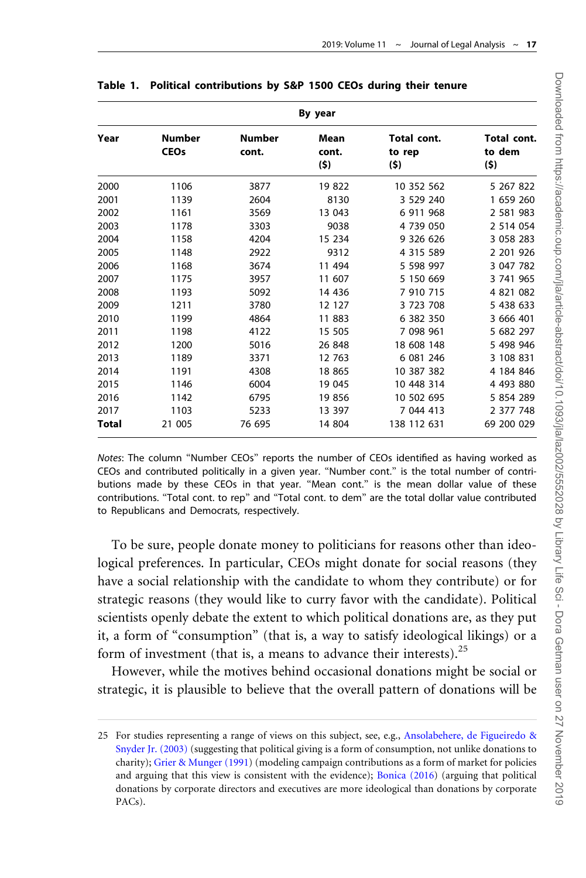|              | By year                      |                        |                       |                               |                                      |  |  |  |  |
|--------------|------------------------------|------------------------|-----------------------|-------------------------------|--------------------------------------|--|--|--|--|
| Year         | <b>Number</b><br><b>CEOs</b> | <b>Number</b><br>cont. | Mean<br>cont.<br>(\$) | Total cont.<br>to rep<br>(\$) | <b>Total cont.</b><br>to dem<br>(\$) |  |  |  |  |
| 2000         | 1106                         | 3877                   | 19822                 | 10 352 562                    | 5 267 822                            |  |  |  |  |
| 2001         | 1139                         | 2604                   | 8130                  | 3 529 240                     | 1 659 260                            |  |  |  |  |
| 2002         | 1161                         | 3569                   | 13 043                | 6 911 968                     | 2 581 983                            |  |  |  |  |
| 2003         | 1178                         | 3303                   | 9038                  | 4 739 050                     | 2 514 054                            |  |  |  |  |
| 2004         | 1158                         | 4204                   | 15 234                | 9 326 626                     | 3 058 283                            |  |  |  |  |
| 2005         | 1148                         | 2922                   | 9312                  | 4 315 589                     | 2 201 926                            |  |  |  |  |
| 2006         | 1168                         | 3674                   | 11 494                | 5 598 997                     | 3 047 782                            |  |  |  |  |
| 2007         | 1175                         | 3957                   | 11 607                | 5 150 669                     | 3 741 965                            |  |  |  |  |
| 2008         | 1193                         | 5092                   | 14 4 36               | 7 910 715                     | 4 821 082                            |  |  |  |  |
| 2009         | 1211                         | 3780                   | 12 127                | 3 723 708                     | 5 438 633                            |  |  |  |  |
| 2010         | 1199                         | 4864                   | 11 883                | 6 382 350                     | 3 666 401                            |  |  |  |  |
| 2011         | 1198                         | 4122                   | 15 505                | 7 098 961                     | 5 682 297                            |  |  |  |  |
| 2012         | 1200                         | 5016                   | 26 848                | 18 608 148                    | 5 498 946                            |  |  |  |  |
| 2013         | 1189                         | 3371                   | 12 763                | 6 081 246                     | 3 108 831                            |  |  |  |  |
| 2014         | 1191                         | 4308                   | 18 865                | 10 387 382                    | 4 184 846                            |  |  |  |  |
| 2015         | 1146                         | 6004                   | 19 045                | 10 448 314                    | 4 493 880                            |  |  |  |  |
| 2016         | 1142                         | 6795                   | 19 856                | 10 502 695                    | 5 854 289                            |  |  |  |  |
| 2017         | 1103                         | 5233                   | 13 397                | 7 044 413                     | 2 377 748                            |  |  |  |  |
| <b>Total</b> | 21 005                       | 76 695                 | 14 804                | 138 112 631                   | 69 200 029                           |  |  |  |  |

<span id="page-17-0"></span>Table 1. Political contributions by S&P 1500 CEOs during their tenure

Notes: The column "Number CEOs" reports the number of CEOs identified as having worked as CEOs and contributed politically in a given year. "Number cont." is the total number of contributions made by these CEOs in that year. "Mean cont." is the mean dollar value of these contributions. "Total cont. to rep" and "Total cont. to dem" are the total dollar value contributed to Republicans and Democrats, respectively.

To be sure, people donate money to politicians for reasons other than ideological preferences. In particular, CEOs might donate for social reasons (they have a social relationship with the candidate to whom they contribute) or for strategic reasons (they would like to curry favor with the candidate). Political scientists openly debate the extent to which political donations are, as they put it, a form of "consumption" (that is, a way to satisfy ideological likings) or a form of investment (that is, a means to advance their interests).  $25$ 

However, while the motives behind occasional donations might be social or strategic, it is plausible to believe that the overall pattern of donations will be

<sup>25</sup> For studies representing a range of views on this subject, see, e.g., [Ansolabehere, de Figueiredo &](#page-40-0) [Snyder Jr. \(2003\)](#page-40-0) (suggesting that political giving is a form of consumption, not unlike donations to charity); [Grier & Munger \(1991\)](#page-43-0) (modeling campaign contributions as a form of market for policies and arguing that this view is consistent with the evidence); [Bonica \(2016\)](#page-41-0) (arguing that political donations by corporate directors and executives are more ideological than donations by corporate PACs).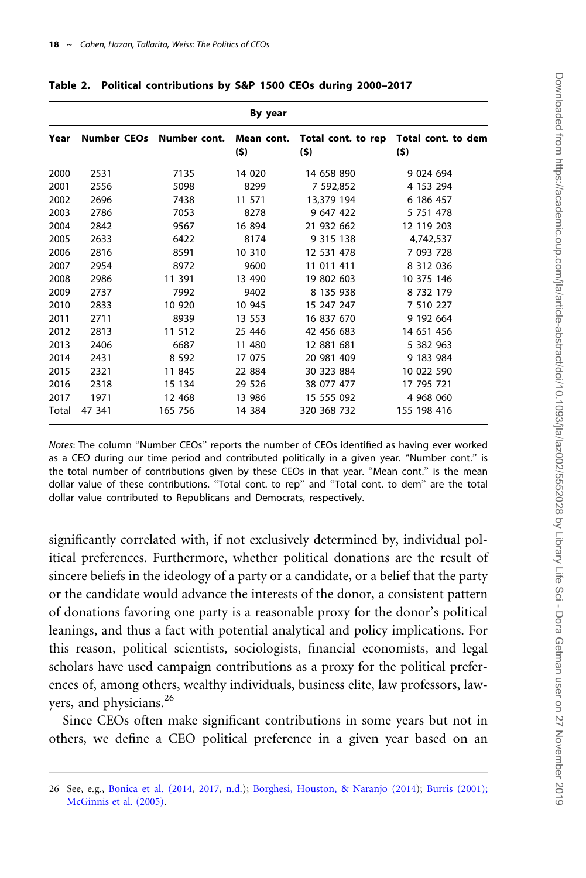|       | By year            |                         |         |               |                                               |  |  |  |  |
|-------|--------------------|-------------------------|---------|---------------|-----------------------------------------------|--|--|--|--|
| Year  | <b>Number CEOs</b> | Number cont. Mean cont. | (\$)    | (\$)          | Total cont. to rep Total cont. to dem<br>(\$) |  |  |  |  |
| 2000  | 2531               | 7135                    | 14 020  | 14 658 890    | 9 024 694                                     |  |  |  |  |
| 2001  | 2556               | 5098                    | 8299    | 7 592,852     | 4 153 294                                     |  |  |  |  |
| 2002  | 2696               | 7438                    | 11 571  | 13,379 194    | 6 186 457                                     |  |  |  |  |
| 2003  | 2786               | 7053                    | 8278    | 9 647 422     | 5 751 478                                     |  |  |  |  |
| 2004  | 2842               | 9567                    | 16 894  | 21 932 662    | 12 119 203                                    |  |  |  |  |
| 2005  | 2633               | 6422                    | 8174    | 9 3 1 5 1 3 8 | 4,742,537                                     |  |  |  |  |
| 2006  | 2816               | 8591                    | 10 310  | 12 531 478    | 7 093 728                                     |  |  |  |  |
| 2007  | 2954               | 8972                    | 9600    | 11 011 411    | 8 312 036                                     |  |  |  |  |
| 2008  | 2986               | 11 391                  | 13 490  | 19 802 603    | 10 375 146                                    |  |  |  |  |
| 2009  | 2737               | 7992                    | 9402    | 8 135 938     | 8 732 179                                     |  |  |  |  |
| 2010  | 2833               | 10 920                  | 10 945  | 15 247 247    | 7 510 227                                     |  |  |  |  |
| 2011  | 2711               | 8939                    | 13 553  | 16 837 670    | 9 192 664                                     |  |  |  |  |
| 2012  | 2813               | 11 512                  | 25 446  | 42 456 683    | 14 651 456                                    |  |  |  |  |
| 2013  | 2406               | 6687                    | 11 480  | 12 881 681    | 5 382 963                                     |  |  |  |  |
| 2014  | 2431               | 8 5 9 2                 | 17 075  | 20 981 409    | 9 183 984                                     |  |  |  |  |
| 2015  | 2321               | 11 845                  | 22 884  | 30 323 884    | 10 022 590                                    |  |  |  |  |
| 2016  | 2318               | 15 134                  | 29 5 26 | 38 077 477    | 17 795 721                                    |  |  |  |  |
| 2017  | 1971               | 12 468                  | 13 986  | 15 555 092    | 4 968 060                                     |  |  |  |  |
| Total | 47 341             | 165 756                 | 14 384  | 320 368 732   | 155 198 416                                   |  |  |  |  |

<span id="page-18-0"></span>Table 2. Political contributions by S&P 1500 CEOs during 2000–2017

Notes: The column "Number CEOs" reports the number of CEOs identified as having ever worked as a CEO during our time period and contributed politically in a given year. "Number cont." is the total number of contributions given by these CEOs in that year. "Mean cont." is the mean dollar value of these contributions. "Total cont. to rep" and "Total cont. to dem" are the total dollar value contributed to Republicans and Democrats, respectively.

significantly correlated with, if not exclusively determined by, individual political preferences. Furthermore, whether political donations are the result of sincere beliefs in the ideology of a party or a candidate, or a belief that the party or the candidate would advance the interests of the donor, a consistent pattern of donations favoring one party is a reasonable proxy for the donor's political leanings, and thus a fact with potential analytical and policy implications. For this reason, political scientists, sociologists, financial economists, and legal scholars have used campaign contributions as a proxy for the political preferences of, among others, wealthy individuals, business elite, law professors, lawyers, and physicians.<sup>26</sup>

Since CEOs often make significant contributions in some years but not in others, we define a CEO political preference in a given year based on an

<sup>26</sup> See, e.g., [Bonica et al. \(2014](#page-41-0), [2017,](#page-41-0) [n.d.](#page-41-0)); [Borghesi, Houston, & Naranjo \(2014](#page-41-0)); [Burris \(2001\);](#page-41-0) [McGinnis et al. \(2005\).](#page-43-0)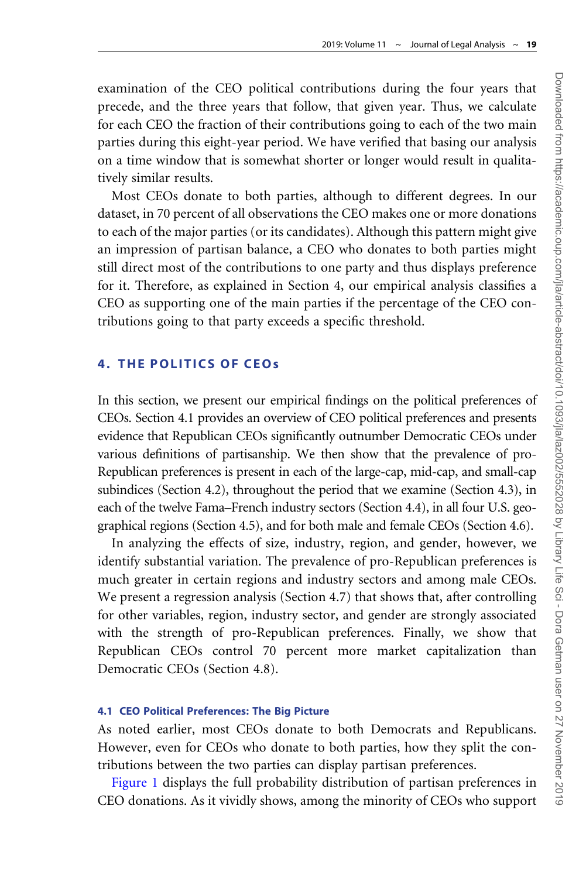examination of the CEO political contributions during the four years that precede, and the three years that follow, that given year. Thus, we calculate for each CEO the fraction of their contributions going to each of the two main parties during this eight-year period. We have verified that basing our analysis on a time window that is somewhat shorter or longer would result in qualitatively similar results.

Most CEOs donate to both parties, although to different degrees. In our dataset, in 70 percent of all observations the CEO makes one or more donations to each of the major parties (or its candidates). Although this pattern might give an impression of partisan balance, a CEO who donates to both parties might still direct most of the contributions to one party and thus displays preference for it. Therefore, as explained in Section 4, our empirical analysis classifies a CEO as supporting one of the main parties if the percentage of the CEO contributions going to that party exceeds a specific threshold.

## 4. THE POLITICS OF CEOs

In this section, we present our empirical findings on the political preferences of CEOs. Section 4.1 provides an overview of CEO political preferences and presents evidence that Republican CEOs significantly outnumber Democratic CEOs under various definitions of partisanship. We then show that the prevalence of pro-Republican preferences is present in each of the large-cap, mid-cap, and small-cap subindices (Section 4.2), throughout the period that we examine (Section 4.3), in each of the twelve Fama–French industry sectors (Section 4.4), in all four U.S. geographical regions (Section 4.5), and for both male and female CEOs (Section 4.6).

In analyzing the effects of size, industry, region, and gender, however, we identify substantial variation. The prevalence of pro-Republican preferences is much greater in certain regions and industry sectors and among male CEOs. We present a regression analysis (Section 4.7) that shows that, after controlling for other variables, region, industry sector, and gender are strongly associated with the strength of pro-Republican preferences. Finally, we show that Republican CEOs control 70 percent more market capitalization than Democratic CEOs (Section 4.8).

#### 4.1 CEO Political Preferences: The Big Picture

As noted earlier, most CEOs donate to both Democrats and Republicans. However, even for CEOs who donate to both parties, how they split the contributions between the two parties can display partisan preferences.

[Figure 1](#page-20-0) displays the full probability distribution of partisan preferences in CEO donations. As it vividly shows, among the minority of CEOs who support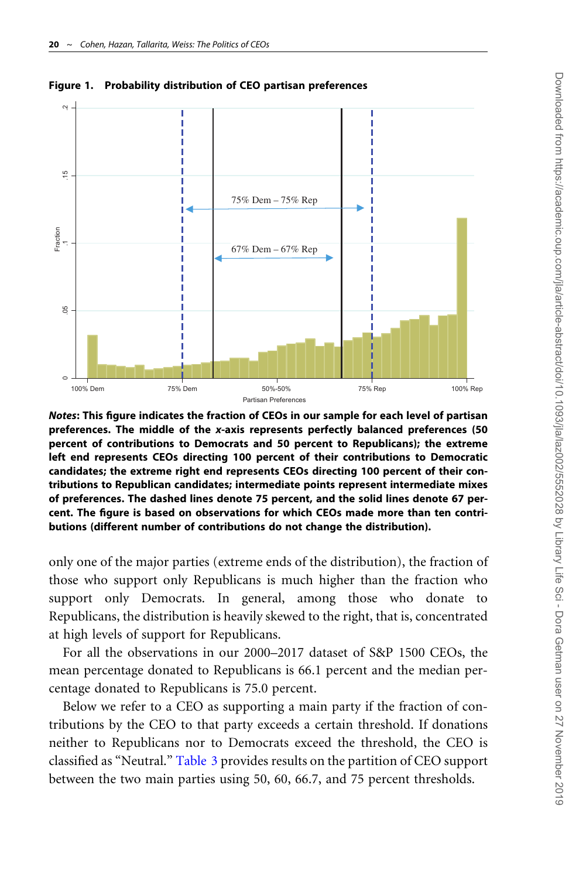

<span id="page-20-0"></span>Figure 1. Probability distribution of CEO partisan preferences

Notes: This figure indicates the fraction of CEOs in our sample for each level of partisan preferences. The middle of the x-axis represents perfectly balanced preferences (50 percent of contributions to Democrats and 50 percent to Republicans); the extreme left end represents CEOs directing 100 percent of their contributions to Democratic candidates; the extreme right end represents CEOs directing 100 percent of their contributions to Republican candidates; intermediate points represent intermediate mixes of preferences. The dashed lines denote 75 percent, and the solid lines denote 67 percent. The figure is based on observations for which CEOs made more than ten contributions (different number of contributions do not change the distribution).

only one of the major parties (extreme ends of the distribution), the fraction of those who support only Republicans is much higher than the fraction who support only Democrats. In general, among those who donate to Republicans, the distribution is heavily skewed to the right, that is, concentrated at high levels of support for Republicans.

For all the observations in our 2000–2017 dataset of S&P 1500 CEOs, the mean percentage donated to Republicans is 66.1 percent and the median percentage donated to Republicans is 75.0 percent.

Below we refer to a CEO as supporting a main party if the fraction of contributions by the CEO to that party exceeds a certain threshold. If donations neither to Republicans nor to Democrats exceed the threshold, the CEO is classified as "Neutral." [Table 3](#page-21-0) provides results on the partition of CEO support between the two main parties using 50, 60, 66.7, and 75 percent thresholds.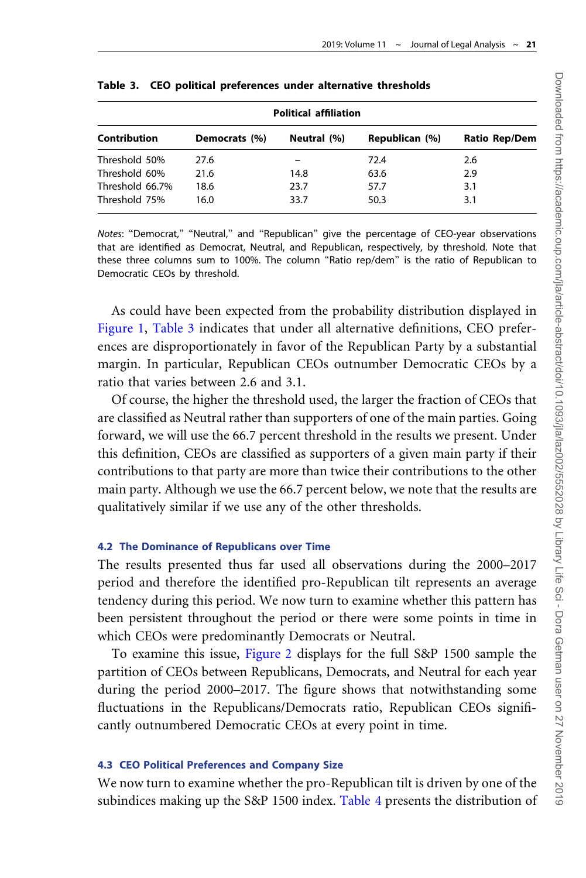| <b>Political affiliation</b> |  |               |             |                |                      |  |  |  |
|------------------------------|--|---------------|-------------|----------------|----------------------|--|--|--|
| <b>Contribution</b>          |  | Democrats (%) | Neutral (%) | Republican (%) | <b>Ratio Rep/Dem</b> |  |  |  |
| Threshold 50%                |  | 27.6          |             | 72.4           | 2.6                  |  |  |  |
| Threshold 60%                |  | 21.6          | 14.8        | 63.6           | 2.9                  |  |  |  |
| Threshold 66.7%              |  | 18.6          | 23.7        | 57.7           | 3.1                  |  |  |  |
| Threshold 75%                |  | 16.0          | 33.7        | 50.3           | 3.1                  |  |  |  |

<span id="page-21-0"></span>Table 3. CEO political preferences under alternative thresholds

Notes: "Democrat," "Neutral," and "Republican" give the percentage of CEO-year observations that are identified as Democrat, Neutral, and Republican, respectively, by threshold. Note that these three columns sum to 100%. The column "Ratio rep/dem" is the ratio of Republican to Democratic CEOs by threshold.

As could have been expected from the probability distribution displayed in [Figure 1](#page-20-0), Table 3 indicates that under all alternative definitions, CEO preferences are disproportionately in favor of the Republican Party by a substantial margin. In particular, Republican CEOs outnumber Democratic CEOs by a ratio that varies between 2.6 and 3.1.

Of course, the higher the threshold used, the larger the fraction of CEOs that are classified as Neutral rather than supporters of one of the main parties. Going forward, we will use the 66.7 percent threshold in the results we present. Under this definition, CEOs are classified as supporters of a given main party if their contributions to that party are more than twice their contributions to the other main party. Although we use the 66.7 percent below, we note that the results are qualitatively similar if we use any of the other thresholds.

## 4.2 The Dominance of Republicans over Time

The results presented thus far used all observations during the 2000–2017 period and therefore the identified pro-Republican tilt represents an average tendency during this period. We now turn to examine whether this pattern has been persistent throughout the period or there were some points in time in which CEOs were predominantly Democrats or Neutral.

To examine this issue, [Figure 2](#page-22-0) displays for the full S&P 1500 sample the partition of CEOs between Republicans, Democrats, and Neutral for each year during the period 2000–2017. The figure shows that notwithstanding some fluctuations in the Republicans/Democrats ratio, Republican CEOs significantly outnumbered Democratic CEOs at every point in time.

#### 4.3 CEO Political Preferences and Company Size

We now turn to examine whether the pro-Republican tilt is driven by one of the subindices making up the S&P 1500 index. [Table 4](#page-22-0) presents the distribution of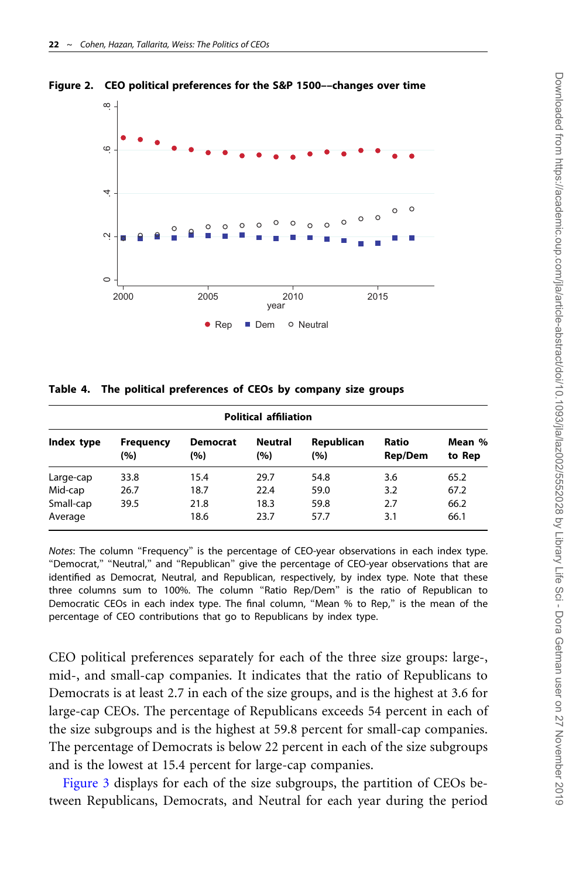

<span id="page-22-0"></span>Figure 2. CEO political preferences for the S&P 1500––changes over time

Table 4. The political preferences of CEOs by company size groups

| <b>Political affiliation</b> |                         |                        |                       |                   |                         |                  |  |  |  |
|------------------------------|-------------------------|------------------------|-----------------------|-------------------|-------------------------|------------------|--|--|--|
| Index type                   | <b>Frequency</b><br>(%) | <b>Democrat</b><br>(%) | <b>Neutral</b><br>(%) | Republican<br>(%) | Ratio<br><b>Rep/Dem</b> | Mean %<br>to Rep |  |  |  |
| Large-cap                    | 33.8                    | 15.4                   | 29.7                  | 54.8              | 3.6                     | 65.2             |  |  |  |
| Mid-cap                      | 26.7                    | 18.7                   | 22.4                  | 59.0              | 3.2                     | 67.2             |  |  |  |
| Small-cap                    | 39.5                    | 21.8                   | 18.3                  | 59.8              | 2.7                     | 66.2             |  |  |  |
| Average                      |                         | 18.6                   | 23.7                  | 57.7              | 3.1                     | 66.1             |  |  |  |

Notes: The column "Frequency" is the percentage of CEO-year observations in each index type. "Democrat," "Neutral," and "Republican" give the percentage of CEO-year observations that are identified as Democrat, Neutral, and Republican, respectively, by index type. Note that these three columns sum to 100%. The column "Ratio Rep/Dem" is the ratio of Republican to Democratic CEOs in each index type. The final column, "Mean % to Rep," is the mean of the percentage of CEO contributions that go to Republicans by index type.

CEO political preferences separately for each of the three size groups: large-, mid-, and small-cap companies. It indicates that the ratio of Republicans to Democrats is at least 2.7 in each of the size groups, and is the highest at 3.6 for large-cap CEOs. The percentage of Republicans exceeds 54 percent in each of the size subgroups and is the highest at 59.8 percent for small-cap companies. The percentage of Democrats is below 22 percent in each of the size subgroups and is the lowest at 15.4 percent for large-cap companies.

[Figure 3](#page-23-0) displays for each of the size subgroups, the partition of CEOs between Republicans, Democrats, and Neutral for each year during the period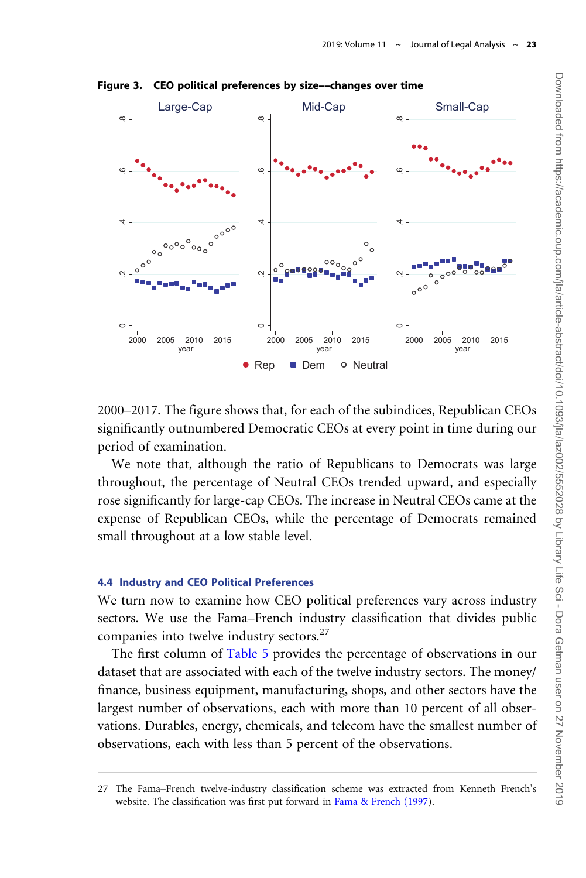

<span id="page-23-0"></span>Figure 3. CEO political preferences by size––changes over time

2000–2017. The figure shows that, for each of the subindices, Republican CEOs significantly outnumbered Democratic CEOs at every point in time during our period of examination.

We note that, although the ratio of Republicans to Democrats was large throughout, the percentage of Neutral CEOs trended upward, and especially rose significantly for large-cap CEOs. The increase in Neutral CEOs came at the expense of Republican CEOs, while the percentage of Democrats remained small throughout at a low stable level.

#### 4.4 Industry and CEO Political Preferences

We turn now to examine how CEO political preferences vary across industry sectors. We use the Fama–French industry classification that divides public companies into twelve industry sectors.<sup>27</sup>

The first column of [Table 5](#page-24-0) provides the percentage of observations in our dataset that are associated with each of the twelve industry sectors. The money/ finance, business equipment, manufacturing, shops, and other sectors have the largest number of observations, each with more than 10 percent of all observations. Durables, energy, chemicals, and telecom have the smallest number of observations, each with less than 5 percent of the observations.

<sup>27</sup> The Fama–French twelve-industry classification scheme was extracted from Kenneth French's website. The classification was first put forward in [Fama & French \(1997](#page-43-0)).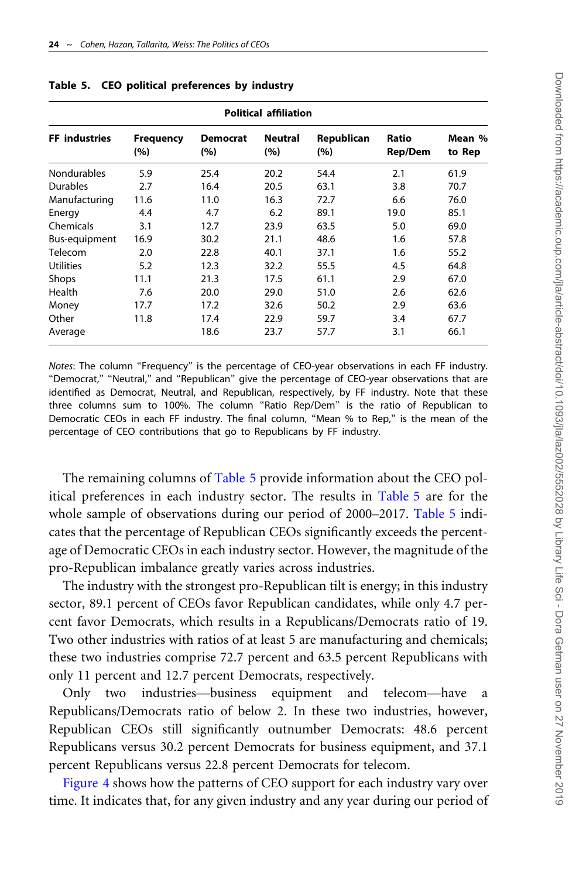|                    | <b>Political affiliation</b> |                        |                |                   |                         |                  |  |  |  |  |
|--------------------|------------------------------|------------------------|----------------|-------------------|-------------------------|------------------|--|--|--|--|
| FF industries      | <b>Frequency</b><br>(%)      | <b>Democrat</b><br>(%) | Neutral<br>(%) | Republican<br>(%) | Ratio<br><b>Rep/Dem</b> | Mean %<br>to Rep |  |  |  |  |
| <b>Nondurables</b> | 5.9                          | 25.4                   | 20.2           | 54.4              | 2.1                     | 61.9             |  |  |  |  |
| <b>Durables</b>    | 2.7                          | 16.4                   | 20.5           | 63.1              | 3.8                     | 70.7             |  |  |  |  |
| Manufacturing      | 11.6                         | 11.0                   | 16.3           | 72.7              | 6.6                     | 76.0             |  |  |  |  |
| Energy             | 4.4                          | 4.7                    | 6.2            | 89.1              | 19.0                    | 85.1             |  |  |  |  |
| Chemicals          | 3.1                          | 12.7                   | 23.9           | 63.5              | 5.0                     | 69.0             |  |  |  |  |
| Bus-equipment      | 16.9                         | 30.2                   | 21.1           | 48.6              | 1.6                     | 57.8             |  |  |  |  |
| Telecom            | 2.0                          | 22.8                   | 40.1           | 37.1              | 1.6                     | 55.2             |  |  |  |  |
| <b>Utilities</b>   | 5.2                          | 12.3                   | 32.2           | 55.5              | 4.5                     | 64.8             |  |  |  |  |
| Shops              | 11.1                         | 21.3                   | 17.5           | 61.1              | 2.9                     | 67.0             |  |  |  |  |
| Health             | 7.6                          | 20.0                   | 29.0           | 51.0              | 2.6                     | 62.6             |  |  |  |  |
| Money              | 17.7                         | 17.2                   | 32.6           | 50.2              | 2.9                     | 63.6             |  |  |  |  |
| Other              | 11.8                         | 17.4                   | 22.9           | 59.7              | 3.4                     | 67.7             |  |  |  |  |
| Average            |                              | 18.6                   | 23.7           | 57.7              | 3.1                     | 66.1             |  |  |  |  |

<span id="page-24-0"></span>Table 5. CEO political preferences by industry

Notes: The column "Frequency" is the percentage of CEO-year observations in each FF industry. "Democrat," "Neutral," and "Republican" give the percentage of CEO-year observations that are identified as Democrat, Neutral, and Republican, respectively, by FF industry. Note that these three columns sum to 100%. The column "Ratio Rep/Dem" is the ratio of Republican to Democratic CEOs in each FF industry. The final column, "Mean % to Rep," is the mean of the percentage of CEO contributions that go to Republicans by FF industry.

The remaining columns of Table 5 provide information about the CEO political preferences in each industry sector. The results in Table 5 are for the whole sample of observations during our period of 2000–2017. Table 5 indicates that the percentage of Republican CEOs significantly exceeds the percentage of Democratic CEOs in each industry sector. However, the magnitude of the pro-Republican imbalance greatly varies across industries.

The industry with the strongest pro-Republican tilt is energy; in this industry sector, 89.1 percent of CEOs favor Republican candidates, while only 4.7 percent favor Democrats, which results in a Republicans/Democrats ratio of 19. Two other industries with ratios of at least 5 are manufacturing and chemicals; these two industries comprise 72.7 percent and 63.5 percent Republicans with only 11 percent and 12.7 percent Democrats, respectively.

Only two industries—business equipment and telecom—have a Republicans/Democrats ratio of below 2. In these two industries, however, Republican CEOs still significantly outnumber Democrats: 48.6 percent Republicans versus 30.2 percent Democrats for business equipment, and 37.1 percent Republicans versus 22.8 percent Democrats for telecom.

[Figure 4](#page-25-0) shows how the patterns of CEO support for each industry vary over time. It indicates that, for any given industry and any year during our period of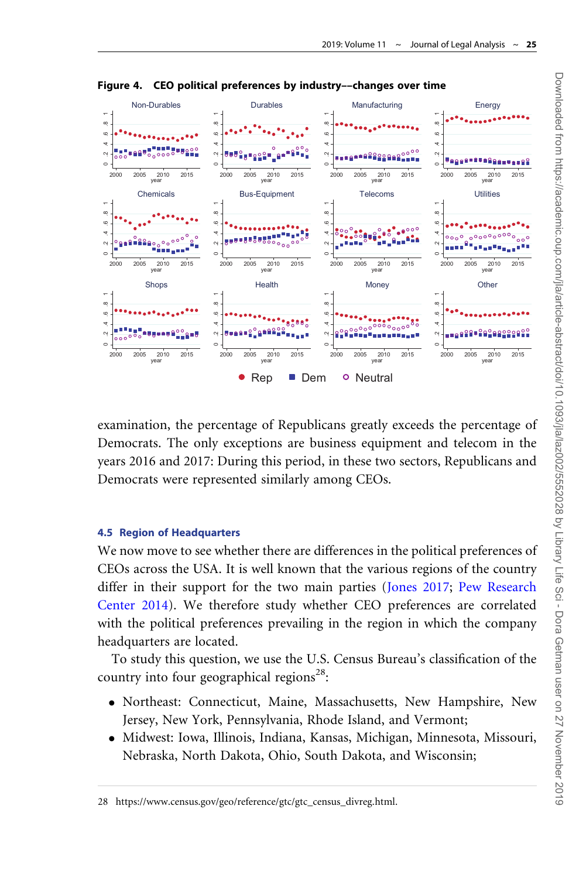

<span id="page-25-0"></span>Figure 4. CEO political preferences by industry––changes over time

examination, the percentage of Republicans greatly exceeds the percentage of Democrats. The only exceptions are business equipment and telecom in the years 2016 and 2017: During this period, in these two sectors, Republicans and Democrats were represented similarly among CEOs.

#### 4.5 Region of Headquarters

We now move to see whether there are differences in the political preferences of CEOs across the USA. It is well known that the various regions of the country differ in their support for the two main parties [\(Jones 2017](#page-43-0); [Pew Research](#page-44-0) [Center 2014](#page-44-0)). We therefore study whether CEO preferences are correlated with the political preferences prevailing in the region in which the company headquarters are located.

To study this question, we use the U.S. Census Bureau's classification of the country into four geographical regions<sup>28</sup>:

- . Northeast: Connecticut, Maine, Massachusetts, New Hampshire, New Jersey, New York, Pennsylvania, Rhode Island, and Vermont;
- . Midwest: Iowa, Illinois, Indiana, Kansas, Michigan, Minnesota, Missouri, Nebraska, North Dakota, Ohio, South Dakota, and Wisconsin;

<sup>28</sup> [https://www.census.gov/geo/reference/gtc/gtc\\_census\\_divreg.html](https://www.census.gov/geo/reference/gtc/gtc_census_divreg.html).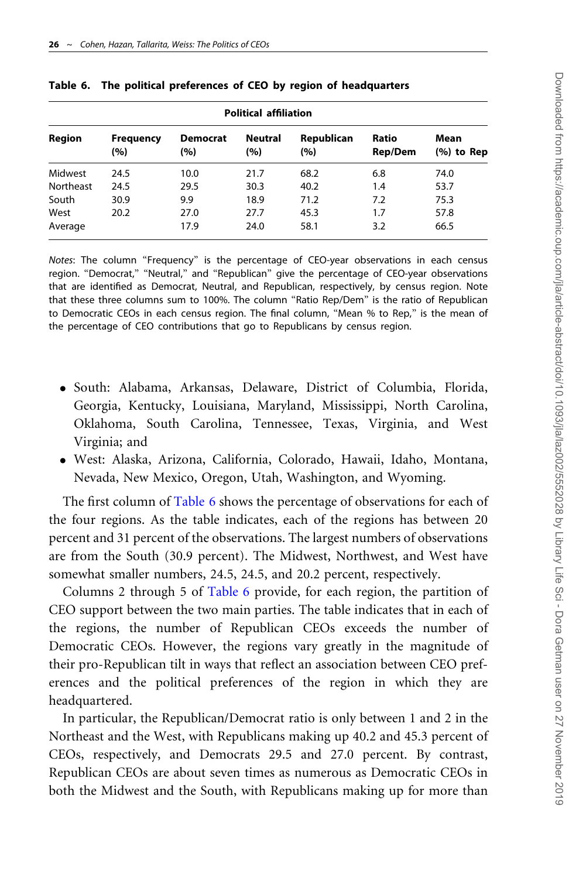|           | <b>Political affiliation</b> |                        |                       |                   |                         |                      |  |  |  |  |
|-----------|------------------------------|------------------------|-----------------------|-------------------|-------------------------|----------------------|--|--|--|--|
| Region    | <b>Frequency</b><br>(%)      | <b>Democrat</b><br>(%) | <b>Neutral</b><br>(%) | Republican<br>(%) | Ratio<br><b>Rep/Dem</b> | Mean<br>$(%)$ to Rep |  |  |  |  |
| Midwest   | 24.5                         | 10.0                   | 21.7                  | 68.2              | 6.8                     | 74.0                 |  |  |  |  |
| Northeast | 24.5                         | 29.5                   | 30.3                  | 40.2              | 1.4                     | 53.7                 |  |  |  |  |
| South     | 30.9                         | 9.9                    | 18.9                  | 71.2              | 7.2                     | 75.3                 |  |  |  |  |
| West      | 20.2                         | 27.0                   | 27.7                  | 45.3              | 1.7                     | 57.8                 |  |  |  |  |
| Average   |                              | 17.9                   | 24.0                  | 58.1              | 3.2                     | 66.5                 |  |  |  |  |

Table 6. The political preferences of CEO by region of headquarters

Notes: The column "Frequency" is the percentage of CEO-year observations in each census region. "Democrat," "Neutral," and "Republican" give the percentage of CEO-year observations that are identified as Democrat, Neutral, and Republican, respectively, by census region. Note that these three columns sum to 100%. The column "Ratio Rep/Dem" is the ratio of Republican to Democratic CEOs in each census region. The final column, "Mean % to Rep," is the mean of the percentage of CEO contributions that go to Republicans by census region.

- . South: Alabama, Arkansas, Delaware, District of Columbia, Florida, Georgia, Kentucky, Louisiana, Maryland, Mississippi, North Carolina, Oklahoma, South Carolina, Tennessee, Texas, Virginia, and West Virginia; and
- . West: Alaska, Arizona, California, Colorado, Hawaii, Idaho, Montana, Nevada, New Mexico, Oregon, Utah, Washington, and Wyoming.

The first column of Table 6 shows the percentage of observations for each of the four regions. As the table indicates, each of the regions has between 20 percent and 31 percent of the observations. The largest numbers of observations are from the South (30.9 percent). The Midwest, Northwest, and West have somewhat smaller numbers, 24.5, 24.5, and 20.2 percent, respectively.

Columns 2 through 5 of Table 6 provide, for each region, the partition of CEO support between the two main parties. The table indicates that in each of the regions, the number of Republican CEOs exceeds the number of Democratic CEOs. However, the regions vary greatly in the magnitude of their pro-Republican tilt in ways that reflect an association between CEO preferences and the political preferences of the region in which they are headquartered.

In particular, the Republican/Democrat ratio is only between 1 and 2 in the Northeast and the West, with Republicans making up 40.2 and 45.3 percent of CEOs, respectively, and Democrats 29.5 and 27.0 percent. By contrast, Republican CEOs are about seven times as numerous as Democratic CEOs in both the Midwest and the South, with Republicans making up for more than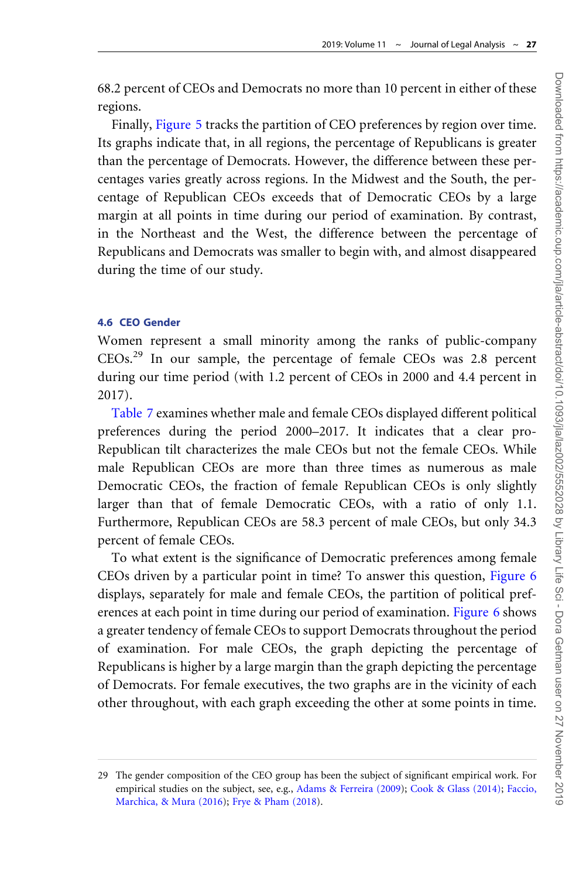68.2 percent of CEOs and Democrats no more than 10 percent in either of these regions.

Finally, [Figure 5](#page-28-0) tracks the partition of CEO preferences by region over time. Its graphs indicate that, in all regions, the percentage of Republicans is greater than the percentage of Democrats. However, the difference between these percentages varies greatly across regions. In the Midwest and the South, the percentage of Republican CEOs exceeds that of Democratic CEOs by a large margin at all points in time during our period of examination. By contrast, in the Northeast and the West, the difference between the percentage of Republicans and Democrats was smaller to begin with, and almost disappeared during the time of our study.

# 4.6 CEO Gender

Women represent a small minority among the ranks of public-company CEOs.<sup>29</sup> In our sample, the percentage of female CEOs was 2.8 percent during our time period (with 1.2 percent of CEOs in 2000 and 4.4 percent in 2017).

[Table 7](#page-28-0) examines whether male and female CEOs displayed different political preferences during the period 2000–2017. It indicates that a clear pro-Republican tilt characterizes the male CEOs but not the female CEOs. While male Republican CEOs are more than three times as numerous as male Democratic CEOs, the fraction of female Republican CEOs is only slightly larger than that of female Democratic CEOs, with a ratio of only 1.1. Furthermore, Republican CEOs are 58.3 percent of male CEOs, but only 34.3 percent of female CEOs.

To what extent is the significance of Democratic preferences among female CEOs driven by a particular point in time? To answer this question, [Figure 6](#page-29-0) displays, separately for male and female CEOs, the partition of political preferences at each point in time during our period of examination. [Figure 6](#page-29-0) shows a greater tendency of female CEOs to support Democrats throughout the period of examination. For male CEOs, the graph depicting the percentage of Republicans is higher by a large margin than the graph depicting the percentage of Democrats. For female executives, the two graphs are in the vicinity of each other throughout, with each graph exceeding the other at some points in time.

<sup>29</sup> The gender composition of the CEO group has been the subject of significant empirical work. For empirical studies on the subject, see, e.g., [Adams & Ferreira \(2009\)](#page-40-0); [Cook & Glass \(2014\);](#page-42-0) [Faccio,](#page-42-0) [Marchica, & Mura \(2016](#page-42-0)); [Frye & Pham \(2018](#page-43-0)).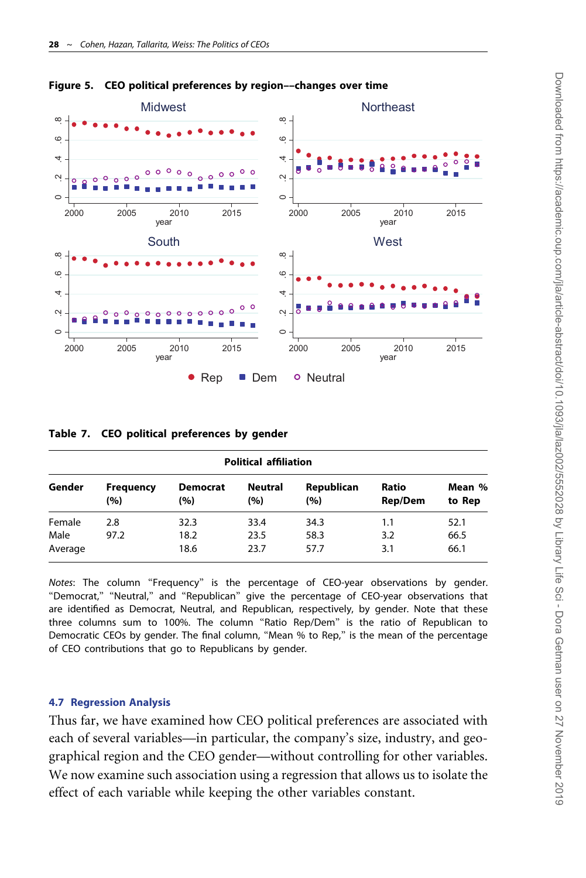

#### <span id="page-28-0"></span>Figure 5. CEO political preferences by region––changes over time

|  |  |  | Table 7. CEO political preferences by gender |  |  |
|--|--|--|----------------------------------------------|--|--|
|--|--|--|----------------------------------------------|--|--|

|         | <b>Political affiliation</b> |                        |                       |                   |                         |                  |  |  |  |  |
|---------|------------------------------|------------------------|-----------------------|-------------------|-------------------------|------------------|--|--|--|--|
| Gender  | <b>Frequency</b><br>(%)      | <b>Democrat</b><br>(%) | <b>Neutral</b><br>(%) | Republican<br>(%) | Ratio<br><b>Rep/Dem</b> | Mean %<br>to Rep |  |  |  |  |
| Female  | 2.8                          | 32.3                   | 33.4                  | 34.3              | 1.1                     | 52.1             |  |  |  |  |
| Male    | 97.2                         | 18.2                   | 23.5                  | 58.3              | 3.2                     | 66.5             |  |  |  |  |
| Average |                              | 18.6                   | 23.7                  | 57.7              | 3.1                     | 66.1             |  |  |  |  |

Notes: The column "Frequency" is the percentage of CEO-year observations by gender. "Democrat," "Neutral," and "Republican" give the percentage of CEO-year observations that are identified as Democrat, Neutral, and Republican, respectively, by gender. Note that these three columns sum to 100%. The column "Ratio Rep/Dem" is the ratio of Republican to Democratic CEOs by gender. The final column, "Mean % to Rep," is the mean of the percentage of CEO contributions that go to Republicans by gender.

## 4.7 Regression Analysis

Thus far, we have examined how CEO political preferences are associated with each of several variables—in particular, the company's size, industry, and geographical region and the CEO gender—without controlling for other variables. We now examine such association using a regression that allows us to isolate the effect of each variable while keeping the other variables constant.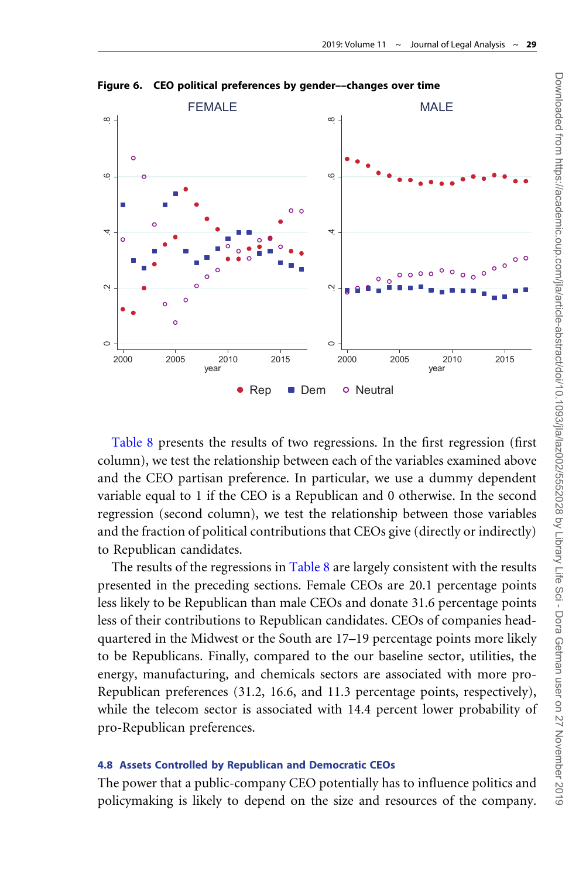

<span id="page-29-0"></span>Figure 6. CEO political preferences by gender––changes over time

[Table 8](#page-30-0) presents the results of two regressions. In the first regression (first column), we test the relationship between each of the variables examined above and the CEO partisan preference. In particular, we use a dummy dependent variable equal to 1 if the CEO is a Republican and 0 otherwise. In the second regression (second column), we test the relationship between those variables and the fraction of political contributions that CEOs give (directly or indirectly) to Republican candidates.

The results of the regressions in [Table 8](#page-30-0) are largely consistent with the results presented in the preceding sections. Female CEOs are 20.1 percentage points less likely to be Republican than male CEOs and donate 31.6 percentage points less of their contributions to Republican candidates. CEOs of companies headquartered in the Midwest or the South are 17–19 percentage points more likely to be Republicans. Finally, compared to the our baseline sector, utilities, the energy, manufacturing, and chemicals sectors are associated with more pro-Republican preferences (31.2, 16.6, and 11.3 percentage points, respectively), while the telecom sector is associated with 14.4 percent lower probability of pro-Republican preferences.

## 4.8 Assets Controlled by Republican and Democratic CEOs

The power that a public-company CEO potentially has to influence politics and policymaking is likely to depend on the size and resources of the company.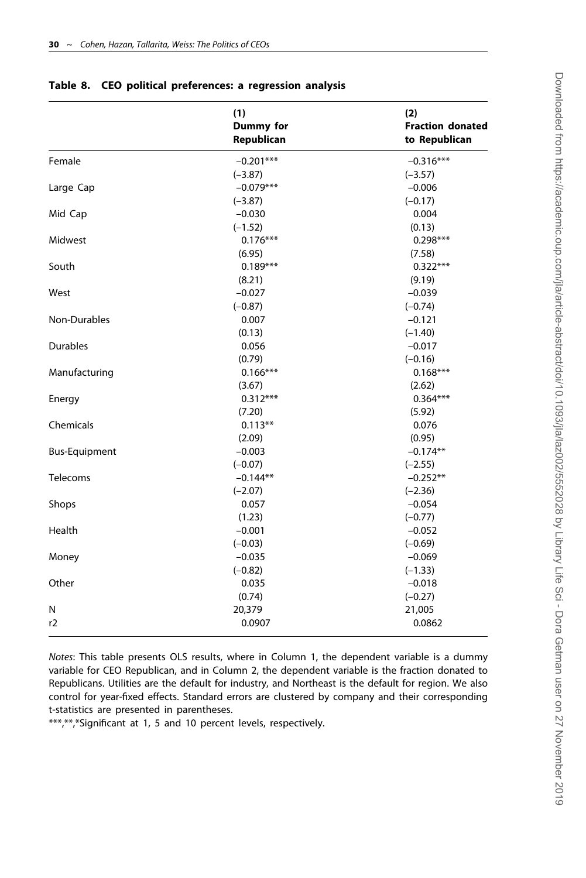|                      | (1)<br>Dummy for | (2)<br><b>Fraction donated</b> |
|----------------------|------------------|--------------------------------|
|                      | Republican       | to Republican                  |
| Female               | $-0.201***$      | $-0.316***$                    |
|                      | $(-3.87)$        | $(-3.57)$                      |
| Large Cap            | $-0.079***$      | $-0.006$                       |
|                      | $(-3.87)$        | $(-0.17)$                      |
| Mid Cap              | $-0.030$         | 0.004                          |
|                      | $(-1.52)$        | (0.13)                         |
| Midwest              | $0.176***$       | $0.298***$                     |
|                      | (6.95)           | (7.58)                         |
| South                | $0.189***$       | $0.322***$                     |
|                      | (8.21)           | (9.19)                         |
| West                 | $-0.027$         | $-0.039$                       |
|                      | $(-0.87)$        | $(-0.74)$                      |
| Non-Durables         | 0.007            | $-0.121$                       |
|                      | (0.13)           | $(-1.40)$                      |
| <b>Durables</b>      | 0.056            | $-0.017$                       |
|                      | (0.79)           | $(-0.16)$                      |
| Manufacturing        | $0.166***$       | $0.168***$                     |
|                      | (3.67)           | (2.62)                         |
| Energy               | $0.312***$       | $0.364***$                     |
|                      | (7.20)           | (5.92)                         |
| Chemicals            | $0.113**$        | 0.076                          |
|                      | (2.09)           | (0.95)                         |
| <b>Bus-Equipment</b> | $-0.003$         | $-0.174**$                     |
|                      | $(-0.07)$        | $(-2.55)$                      |
| Telecoms             | $-0.144**$       | $-0.252**$                     |
|                      | $(-2.07)$        | $(-2.36)$                      |
| Shops                | 0.057            | $-0.054$                       |
|                      | (1.23)           | $(-0.77)$                      |
| Health               | $-0.001$         | $-0.052$                       |
|                      | $(-0.03)$        | $(-0.69)$                      |
| Money                | $-0.035$         | $-0.069$                       |
|                      | $(-0.82)$        | $(-1.33)$                      |
| Other                | 0.035            | $-0.018$                       |
|                      | (0.74)           | $(-0.27)$                      |
| N                    | 20,379           | 21,005                         |
| r2                   | 0.0907           | 0.0862                         |
|                      |                  |                                |

<span id="page-30-0"></span>

|  |  |  | Table 8. CEO political preferences: a regression analysis |  |  |  |
|--|--|--|-----------------------------------------------------------|--|--|--|
|--|--|--|-----------------------------------------------------------|--|--|--|

Notes: This table presents OLS results, where in Column 1, the dependent variable is a dummy variable for CEO Republican, and in Column 2, the dependent variable is the fraction donated to Republicans. Utilities are the default for industry, and Northeast is the default for region. We also control for year-fixed effects. Standard errors are clustered by company and their corresponding t-statistics are presented in parentheses.

\*\*\*,\*\*,\*Significant at 1, 5 and 10 percent levels, respectively.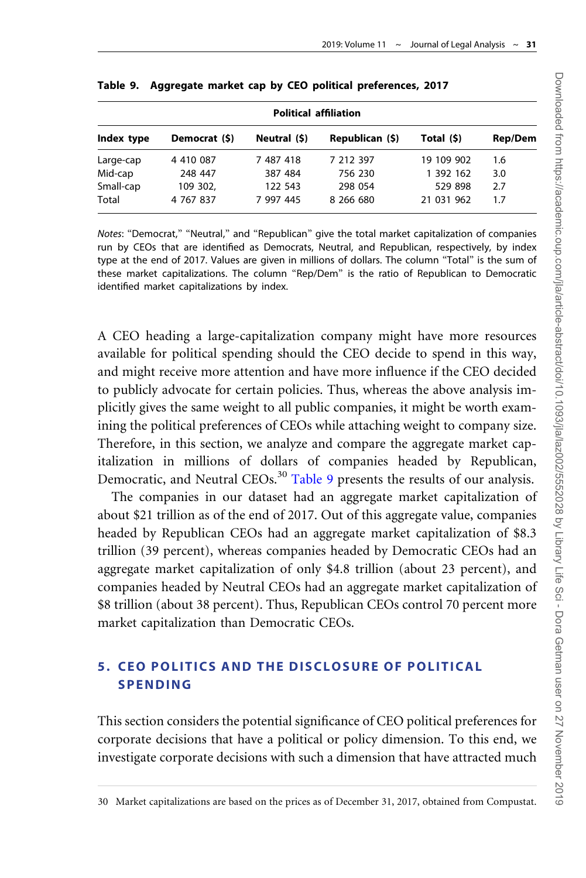|            | <b>Political affiliation</b> |              |                 |            |                |  |  |  |  |
|------------|------------------------------|--------------|-----------------|------------|----------------|--|--|--|--|
| Index type | Democrat (\$)                | Neutral (\$) | Republican (\$) | Total (\$) | <b>Rep/Dem</b> |  |  |  |  |
| Large-cap  | 4 410 087                    | 7 487 418    | 7 212 397       | 19 109 902 | 1.6            |  |  |  |  |
| Mid-cap    | 248 447                      | 387 484      | 756 230         | 1 392 162  | 3.0            |  |  |  |  |
| Small-cap  | 109 302,                     | 122 543      | 298 054         | 529 898    | 2.7            |  |  |  |  |
| Total      | 4 767 837                    | 7 997 445    | 8 266 680       | 21 031 962 | 1.7            |  |  |  |  |

Table 9. Aggregate market cap by CEO political preferences, 2017

Notes: "Democrat," "Neutral," and "Republican" give the total market capitalization of companies run by CEOs that are identified as Democrats, Neutral, and Republican, respectively, by index type at the end of 2017. Values are given in millions of dollars. The column "Total" is the sum of these market capitalizations. The column "Rep/Dem" is the ratio of Republican to Democratic identified market capitalizations by index.

A CEO heading a large-capitalization company might have more resources available for political spending should the CEO decide to spend in this way, and might receive more attention and have more influence if the CEO decided to publicly advocate for certain policies. Thus, whereas the above analysis implicitly gives the same weight to all public companies, it might be worth examining the political preferences of CEOs while attaching weight to company size. Therefore, in this section, we analyze and compare the aggregate market capitalization in millions of dollars of companies headed by Republican, Democratic, and Neutral CEOs.<sup>30</sup> Table 9 presents the results of our analysis.

The companies in our dataset had an aggregate market capitalization of about \$21 trillion as of the end of 2017. Out of this aggregate value, companies headed by Republican CEOs had an aggregate market capitalization of \$8.3 trillion (39 percent), whereas companies headed by Democratic CEOs had an aggregate market capitalization of only \$4.8 trillion (about 23 percent), and companies headed by Neutral CEOs had an aggregate market capitalization of \$8 trillion (about 38 percent). Thus, Republican CEOs control 70 percent more market capitalization than Democratic CEOs.

# 5. CEO POLITICS AND THE DISCLOSURE OF POLITICAL SPENDING

This section considers the potential significance of CEO political preferences for corporate decisions that have a political or policy dimension. To this end, we investigate corporate decisions with such a dimension that have attracted much

<sup>30</sup> Market capitalizations are based on the prices as of December 31, 2017, obtained from Compustat.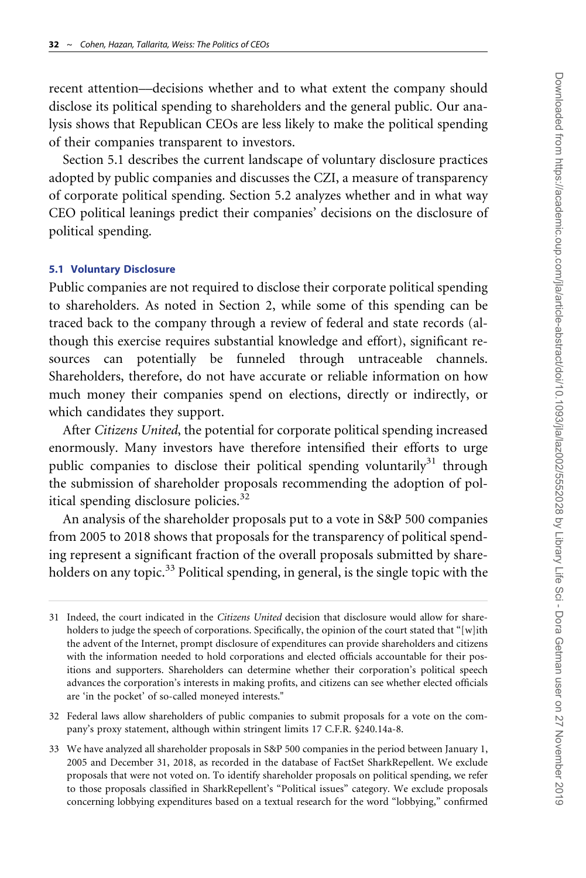recent attention––decisions whether and to what extent the company should disclose its political spending to shareholders and the general public. Our analysis shows that Republican CEOs are less likely to make the political spending of their companies transparent to investors.

Section 5.1 describes the current landscape of voluntary disclosure practices adopted by public companies and discusses the CZI, a measure of transparency of corporate political spending. Section 5.2 analyzes whether and in what way CEO political leanings predict their companies' decisions on the disclosure of political spending.

#### 5.1 Voluntary Disclosure

Public companies are not required to disclose their corporate political spending to shareholders. As noted in Section 2, while some of this spending can be traced back to the company through a review of federal and state records (although this exercise requires substantial knowledge and effort), significant resources can potentially be funneled through untraceable channels. Shareholders, therefore, do not have accurate or reliable information on how much money their companies spend on elections, directly or indirectly, or which candidates they support.

After Citizens United, the potential for corporate political spending increased enormously. Many investors have therefore intensified their efforts to urge public companies to disclose their political spending voluntarily<sup>31</sup> through the submission of shareholder proposals recommending the adoption of political spending disclosure policies.<sup>32</sup>

An analysis of the shareholder proposals put to a vote in S&P 500 companies from 2005 to 2018 shows that proposals for the transparency of political spending represent a significant fraction of the overall proposals submitted by shareholders on any topic.<sup>33</sup> Political spending, in general, is the single topic with the

- 32 Federal laws allow shareholders of public companies to submit proposals for a vote on the company's proxy statement, although within stringent limits 17 C.F.R. §240.14a-8.
- 33 We have analyzed all shareholder proposals in S&P 500 companies in the period between January 1, 2005 and December 31, 2018, as recorded in the database of FactSet SharkRepellent. We exclude proposals that were not voted on. To identify shareholder proposals on political spending, we refer to those proposals classified in SharkRepellent's "Political issues" category. We exclude proposals concerning lobbying expenditures based on a textual research for the word "lobbying," confirmed

<sup>31</sup> Indeed, the court indicated in the Citizens United decision that disclosure would allow for shareholders to judge the speech of corporations. Specifically, the opinion of the court stated that "[w]ith the advent of the Internet, prompt disclosure of expenditures can provide shareholders and citizens with the information needed to hold corporations and elected officials accountable for their positions and supporters. Shareholders can determine whether their corporation's political speech advances the corporation's interests in making profits, and citizens can see whether elected officials are 'in the pocket' of so-called moneyed interests."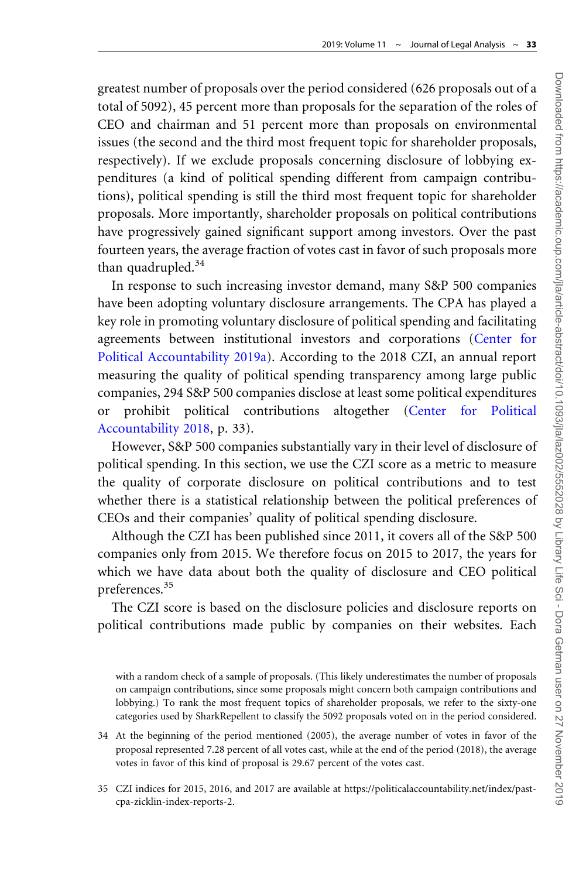greatest number of proposals over the period considered (626 proposals out of a total of 5092), 45 percent more than proposals for the separation of the roles of CEO and chairman and 51 percent more than proposals on environmental issues (the second and the third most frequent topic for shareholder proposals, respectively). If we exclude proposals concerning disclosure of lobbying expenditures (a kind of political spending different from campaign contributions), political spending is still the third most frequent topic for shareholder proposals. More importantly, shareholder proposals on political contributions have progressively gained significant support among investors. Over the past fourteen years, the average fraction of votes cast in favor of such proposals more than quadrupled. $34$ 

In response to such increasing investor demand, many S&P 500 companies have been adopting voluntary disclosure arrangements. The CPA has played a key role in promoting voluntary disclosure of political spending and facilitating agreements between institutional investors and corporations [\(Center for](#page-42-0) [Political Accountability 2019a](#page-42-0)). According to the 2018 CZI, an annual report measuring the quality of political spending transparency among large public companies, 294 S&P 500 companies disclose at least some political expenditures or prohibit political contributions altogether ([Center for Political](#page-42-0) [Accountability 2018,](#page-42-0) p. 33).

However, S&P 500 companies substantially vary in their level of disclosure of political spending. In this section, we use the CZI score as a metric to measure the quality of corporate disclosure on political contributions and to test whether there is a statistical relationship between the political preferences of CEOs and their companies' quality of political spending disclosure.

Although the CZI has been published since 2011, it covers all of the S&P 500 companies only from 2015. We therefore focus on 2015 to 2017, the years for which we have data about both the quality of disclosure and CEO political preferences.<sup>35</sup>

The CZI score is based on the disclosure policies and disclosure reports on political contributions made public by companies on their websites. Each

with a random check of a sample of proposals. (This likely underestimates the number of proposals on campaign contributions, since some proposals might concern both campaign contributions and lobbying.) To rank the most frequent topics of shareholder proposals, we refer to the sixty-one categories used by SharkRepellent to classify the 5092 proposals voted on in the period considered.

- 34 At the beginning of the period mentioned (2005), the average number of votes in favor of the proposal represented 7.28 percent of all votes cast, while at the end of the period (2018), the average votes in favor of this kind of proposal is 29.67 percent of the votes cast.
- 35 CZI indices for 2015, 2016, and 2017 are available at [https://politicalaccountability.net/index/past](https://politicalaccountability.net/index/past-cpa-zicklin-index-reports-2)[cpa-zicklin-index-reports-2.](https://politicalaccountability.net/index/past-cpa-zicklin-index-reports-2)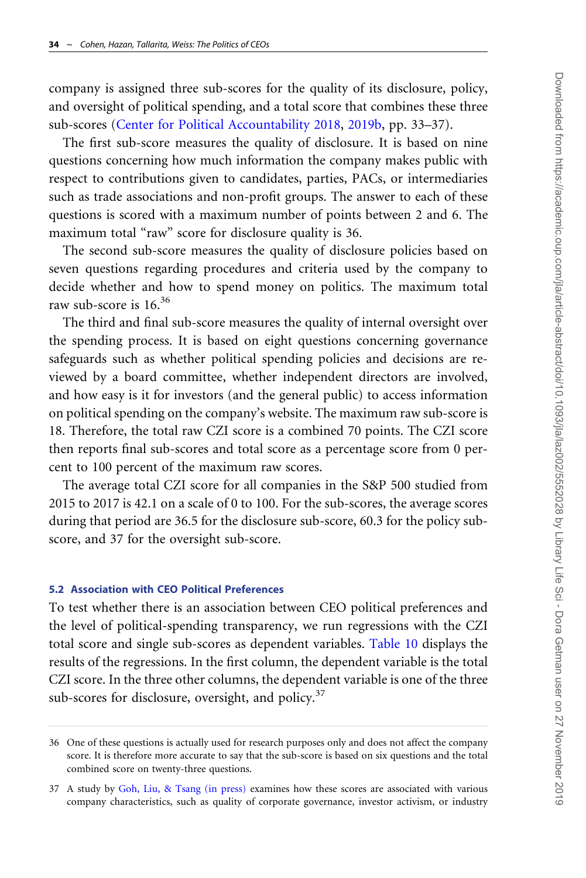company is assigned three sub-scores for the quality of its disclosure, policy, and oversight of political spending, and a total score that combines these three sub-scores ([Center for Political Accountability 2018](#page-42-0), [2019b](#page-42-0), pp. 33–37).

The first sub-score measures the quality of disclosure. It is based on nine questions concerning how much information the company makes public with respect to contributions given to candidates, parties, PACs, or intermediaries such as trade associations and non-profit groups. The answer to each of these questions is scored with a maximum number of points between 2 and 6. The maximum total "raw" score for disclosure quality is 36.

The second sub-score measures the quality of disclosure policies based on seven questions regarding procedures and criteria used by the company to decide whether and how to spend money on politics. The maximum total raw sub-score is 16.<sup>36</sup>

The third and final sub-score measures the quality of internal oversight over the spending process. It is based on eight questions concerning governance safeguards such as whether political spending policies and decisions are reviewed by a board committee, whether independent directors are involved, and how easy is it for investors (and the general public) to access information on political spending on the company's website. The maximum raw sub-score is 18. Therefore, the total raw CZI score is a combined 70 points. The CZI score then reports final sub-scores and total score as a percentage score from 0 percent to 100 percent of the maximum raw scores.

The average total CZI score for all companies in the S&P 500 studied from 2015 to 2017 is 42.1 on a scale of 0 to 100. For the sub-scores, the average scores during that period are 36.5 for the disclosure sub-score, 60.3 for the policy subscore, and 37 for the oversight sub-score.

## 5.2 Association with CEO Political Preferences

To test whether there is an association between CEO political preferences and the level of political-spending transparency, we run regressions with the CZI total score and single sub-scores as dependent variables. [Table 10](#page-35-0) displays the results of the regressions. In the first column, the dependent variable is the total CZI score. In the three other columns, the dependent variable is one of the three sub-scores for disclosure, oversight, and policy.<sup>37</sup>

<sup>36</sup> One of these questions is actually used for research purposes only and does not affect the company score. It is therefore more accurate to say that the sub-score is based on six questions and the total combined score on twenty-three questions.

<sup>37</sup> A study by [Goh, Liu, & Tsang \(in press\)](#page-43-0) examines how these scores are associated with various company characteristics, such as quality of corporate governance, investor activism, or industry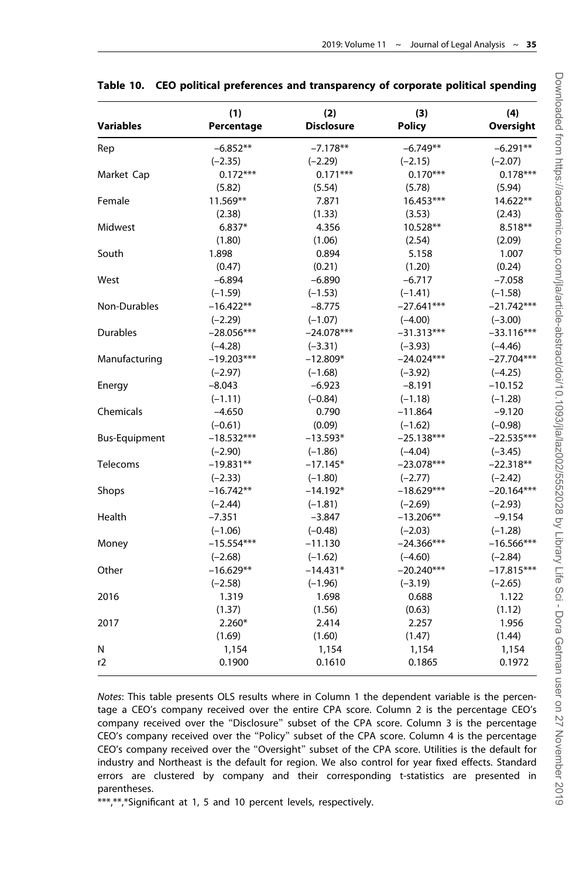|                      | (1)          | (2)               | (3)           | (4)          |
|----------------------|--------------|-------------------|---------------|--------------|
| <b>Variables</b>     | Percentage   | <b>Disclosure</b> | <b>Policy</b> | Oversight    |
| Rep                  | $-6.852**$   | $-7.178**$        | $-6.749**$    | $-6.291**$   |
|                      | $(-2.35)$    | $(-2.29)$         | $(-2.15)$     | $(-2.07)$    |
| Market Cap           | $0.172***$   | $0.171***$        | $0.170***$    | $0.178***$   |
|                      | (5.82)       | (5.54)            | (5.78)        | (5.94)       |
| Female               | 11.569**     | 7.871             | 16.453***     | 14.622**     |
|                      | (2.38)       | (1.33)            | (3.53)        | (2.43)       |
| Midwest              | $6.837*$     | 4.356             | 10.528**      | 8.518**      |
|                      | (1.80)       | (1.06)            | (2.54)        | (2.09)       |
| South                | 1.898        | 0.894             | 5.158         | 1.007        |
|                      | (0.47)       | (0.21)            | (1.20)        | (0.24)       |
| West                 | $-6.894$     | $-6.890$          | $-6.717$      | $-7.058$     |
|                      | $(-1.59)$    | $(-1.53)$         | $(-1.41)$     | $(-1.58)$    |
| Non-Durables         | $-16.422**$  | $-8.775$          | $-27.641***$  | $-21.742***$ |
|                      | $(-2.29)$    | $(-1.07)$         | $(-4.00)$     | $(-3.00)$    |
| <b>Durables</b>      | $-28.056***$ | $-24.078***$      | $-31.313***$  | $-33.116***$ |
|                      | $(-4.28)$    | $(-3.31)$         | $(-3.93)$     | $(-4.46)$    |
| Manufacturing        | $-19.203***$ | $-12.809*$        | $-24.024***$  | $-27.704***$ |
|                      | $(-2.97)$    | $(-1.68)$         | $(-3.92)$     | $(-4.25)$    |
| Energy               | $-8.043$     | $-6.923$          | $-8.191$      | $-10.152$    |
|                      | $(-1.11)$    | $(-0.84)$         | $(-1.18)$     | $(-1.28)$    |
| Chemicals            | $-4.650$     | 0.790             | $-11.864$     | $-9.120$     |
|                      | $(-0.61)$    | (0.09)            | $(-1.62)$     | $(-0.98)$    |
| <b>Bus-Equipment</b> | $-18.532***$ | $-13.593*$        | $-25.138***$  | $-22.535***$ |
|                      | $(-2.90)$    | $(-1.86)$         | $(-4.04)$     | $(-3.45)$    |
| Telecoms             | $-19.831**$  | $-17.145*$        | $-23.078***$  | $-22.318**$  |
|                      | $(-2.33)$    | $(-1.80)$         | $(-2.77)$     | $(-2.42)$    |
| Shops                | $-16.742**$  | $-14.192*$        | $-18.629***$  | $-20.164***$ |
|                      | $(-2.44)$    | $(-1.81)$         | $(-2.69)$     | $(-2.93)$    |
| Health               | $-7.351$     | $-3.847$          | $-13.206**$   | $-9.154$     |
|                      | $(-1.06)$    | $(-0.48)$         | $(-2.03)$     | $(-1.28)$    |
| Money                | $-15.554***$ | $-11.130$         | $-24.366***$  | $-16.566***$ |
|                      | $(-2.68)$    | $(-1.62)$         | $(-4.60)$     | $(-2.84)$    |
| Other                | $-16.629**$  | $-14.431*$        | $-20.240***$  | $-17.815***$ |
|                      | $(-2.58)$    | $(-1.96)$         | $(-3.19)$     | $(-2.65)$    |
| 2016                 | 1.319        | 1.698             | 0.688         | 1.122        |
|                      | (1.37)       | (1.56)            | (0.63)        | (1.12)       |
| 2017                 | $2.260*$     | 2.414             | 2.257         | 1.956        |
|                      | (1.69)       | (1.60)            | (1.47)        | (1.44)       |
| N                    | 1,154        | 1,154             | 1,154         | 1,154        |
| r2                   | 0.1900       | 0.1610            | 0.1865        | 0.1972       |

<span id="page-35-0"></span>Table 10. CEO political preferences and transparency of corporate political spending

Notes: This table presents OLS results where in Column 1 the dependent variable is the percentage a CEO's company received over the entire CPA score. Column 2 is the percentage CEO's company received over the "Disclosure" subset of the CPA score. Column 3 is the percentage CEO's company received over the "Policy" subset of the CPA score. Column 4 is the percentage CEO's company received over the "Oversight" subset of the CPA score. Utilities is the default for industry and Northeast is the default for region. We also control for year fixed effects. Standard errors are clustered by company and their corresponding t-statistics are presented in parentheses.

\*\*\*,\*\*,\*Significant at 1, 5 and 10 percent levels, respectively.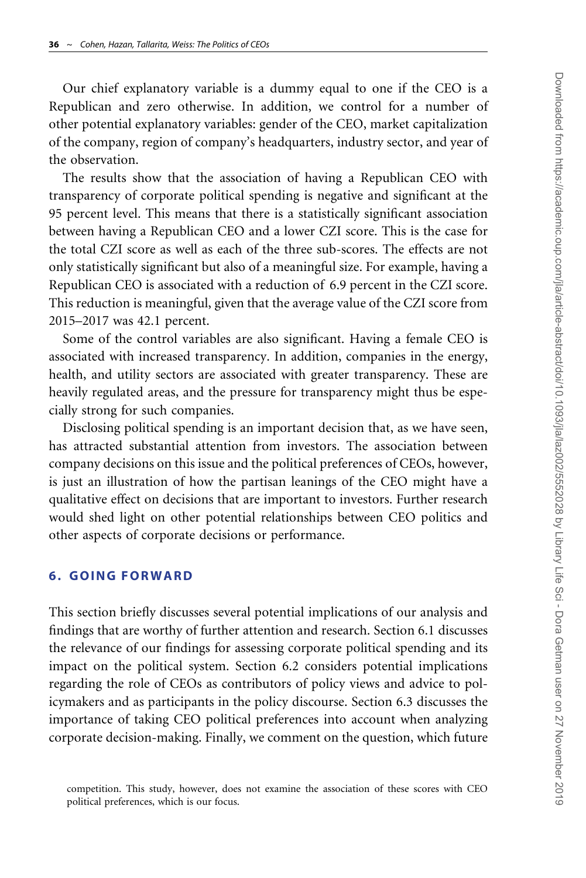Our chief explanatory variable is a dummy equal to one if the CEO is a Republican and zero otherwise. In addition, we control for a number of other potential explanatory variables: gender of the CEO, market capitalization of the company, region of company's headquarters, industry sector, and year of the observation.

The results show that the association of having a Republican CEO with transparency of corporate political spending is negative and significant at the 95 percent level. This means that there is a statistically significant association between having a Republican CEO and a lower CZI score. This is the case for the total CZI score as well as each of the three sub-scores. The effects are not only statistically significant but also of a meaningful size. For example, having a Republican CEO is associated with a reduction of 6.9 percent in the CZI score. This reduction is meaningful, given that the average value of the CZI score from 2015–2017 was 42.1 percent.

Some of the control variables are also significant. Having a female CEO is associated with increased transparency. In addition, companies in the energy, health, and utility sectors are associated with greater transparency. These are heavily regulated areas, and the pressure for transparency might thus be especially strong for such companies.

Disclosing political spending is an important decision that, as we have seen, has attracted substantial attention from investors. The association between company decisions on this issue and the political preferences of CEOs, however, is just an illustration of how the partisan leanings of the CEO might have a qualitative effect on decisions that are important to investors. Further research would shed light on other potential relationships between CEO politics and other aspects of corporate decisions or performance.

# 6. GOING FORWARD

This section briefly discusses several potential implications of our analysis and findings that are worthy of further attention and research. Section 6.1 discusses the relevance of our findings for assessing corporate political spending and its impact on the political system. Section 6.2 considers potential implications regarding the role of CEOs as contributors of policy views and advice to policymakers and as participants in the policy discourse. Section 6.3 discusses the importance of taking CEO political preferences into account when analyzing corporate decision-making. Finally, we comment on the question, which future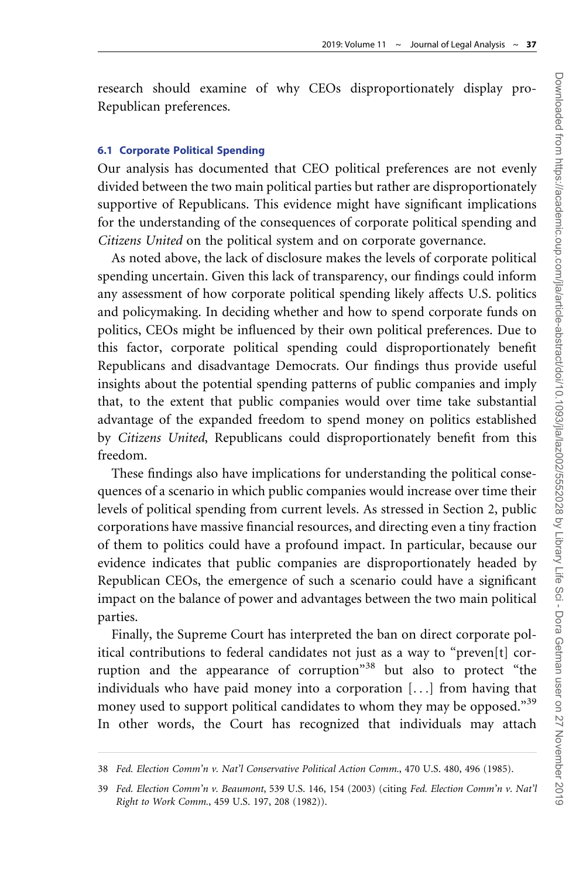research should examine of why CEOs disproportionately display pro-Republican preferences.

# 6.1 Corporate Political Spending

Our analysis has documented that CEO political preferences are not evenly divided between the two main political parties but rather are disproportionately supportive of Republicans. This evidence might have significant implications for the understanding of the consequences of corporate political spending and Citizens United on the political system and on corporate governance.

As noted above, the lack of disclosure makes the levels of corporate political spending uncertain. Given this lack of transparency, our findings could inform any assessment of how corporate political spending likely affects U.S. politics and policymaking. In deciding whether and how to spend corporate funds on politics, CEOs might be influenced by their own political preferences. Due to this factor, corporate political spending could disproportionately benefit Republicans and disadvantage Democrats. Our findings thus provide useful insights about the potential spending patterns of public companies and imply that, to the extent that public companies would over time take substantial advantage of the expanded freedom to spend money on politics established by Citizens United, Republicans could disproportionately benefit from this freedom.

These findings also have implications for understanding the political consequences of a scenario in which public companies would increase over time their levels of political spending from current levels. As stressed in Section 2, public corporations have massive financial resources, and directing even a tiny fraction of them to politics could have a profound impact. In particular, because our evidence indicates that public companies are disproportionately headed by Republican CEOs, the emergence of such a scenario could have a significant impact on the balance of power and advantages between the two main political parties.

Finally, the Supreme Court has interpreted the ban on direct corporate political contributions to federal candidates not just as a way to "preven[t] corruption and the appearance of corruption"<sup>38</sup> but also to protect "the individuals who have paid money into a corporation [...] from having that money used to support political candidates to whom they may be opposed."<sup>39</sup> In other words, the Court has recognized that individuals may attach

<sup>38</sup> Fed. Election Comm'n v. Nat'l Conservative Political Action Comm., 470 U.S. 480, 496 (1985).

<sup>39</sup> Fed. Election Comm'n v. Beaumont, 539 U.S. 146, 154 (2003) (citing Fed. Election Comm'n v. Nat'l Right to Work Comm., 459 U.S. 197, 208 (1982)).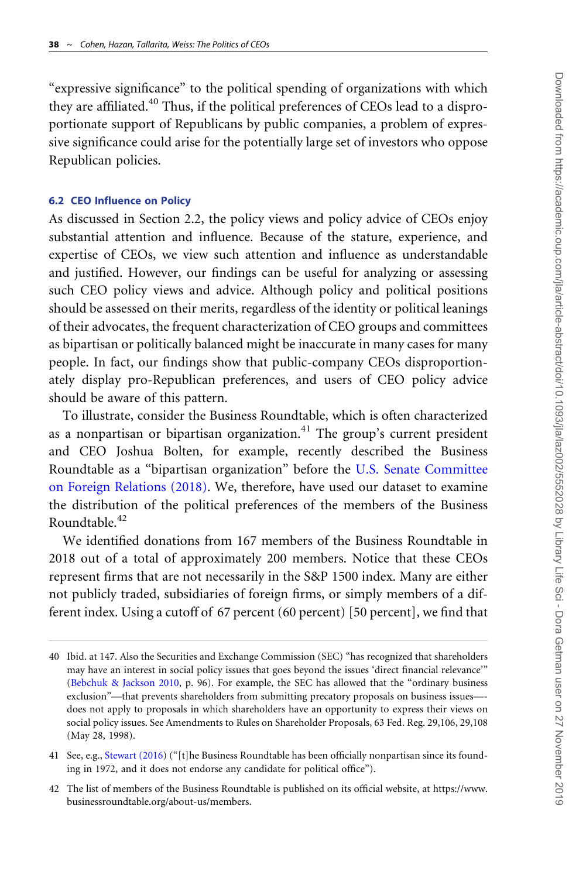"expressive significance" to the political spending of organizations with which they are affiliated.<sup>40</sup> Thus, if the political preferences of CEOs lead to a disproportionate support of Republicans by public companies, a problem of expressive significance could arise for the potentially large set of investors who oppose Republican policies.

#### 6.2 CEO Influence on Policy

As discussed in Section 2.2, the policy views and policy advice of CEOs enjoy substantial attention and influence. Because of the stature, experience, and expertise of CEOs, we view such attention and influence as understandable and justified. However, our findings can be useful for analyzing or assessing such CEO policy views and advice. Although policy and political positions should be assessed on their merits, regardless of the identity or political leanings of their advocates, the frequent characterization of CEO groups and committees as bipartisan or politically balanced might be inaccurate in many cases for many people. In fact, our findings show that public-company CEOs disproportionately display pro-Republican preferences, and users of CEO policy advice should be aware of this pattern.

To illustrate, consider the Business Roundtable, which is often characterized as a nonpartisan or bipartisan organization.<sup>41</sup> The group's current president and CEO Joshua Bolten, for example, recently described the Business Roundtable as a "bipartisan organization" before the [U.S. Senate Committee](#page-44-0) [on Foreign Relations \(2018\).](#page-44-0) We, therefore, have used our dataset to examine the distribution of the political preferences of the members of the Business Roundtable.<sup>42</sup>

We identified donations from 167 members of the Business Roundtable in 2018 out of a total of approximately 200 members. Notice that these CEOs represent firms that are not necessarily in the S&P 1500 index. Many are either not publicly traded, subsidiaries of foreign firms, or simply members of a different index. Using a cutoff of 67 percent (60 percent) [50 percent], we find that

<sup>40</sup> Ibid. at 147. Also the Securities and Exchange Commission (SEC) "has recognized that shareholders may have an interest in social policy issues that goes beyond the issues 'direct financial relevance'" [\(Bebchuk & Jackson 2010](#page-41-0), p. 96). For example, the SEC has allowed that the "ordinary business exclusion"—that prevents shareholders from submitting precatory proposals on business issues— does not apply to proposals in which shareholders have an opportunity to express their views on social policy issues. See Amendments to Rules on Shareholder Proposals, 63 Fed. Reg. 29,106, 29,108 (May 28, 1998).

<sup>41</sup> See, e.g., [Stewart \(2016](#page-44-0)) ("[t]he Business Roundtable has been officially nonpartisan since its founding in 1972, and it does not endorse any candidate for political office").

<sup>42</sup> The list of members of the Business Roundtable is published on its official website, at [https://www.](https://www.businessroundtable.org/about-us/members) [businessroundtable.org/about-us/members](https://www.businessroundtable.org/about-us/members).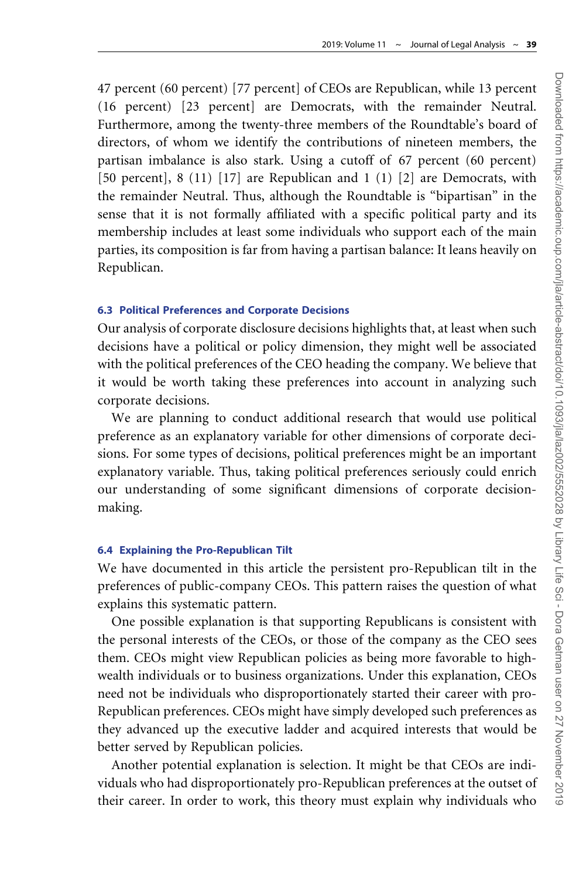47 percent (60 percent) [77 percent] of CEOs are Republican, while 13 percent (16 percent) [23 percent] are Democrats, with the remainder Neutral. Furthermore, among the twenty-three members of the Roundtable's board of directors, of whom we identify the contributions of nineteen members, the partisan imbalance is also stark. Using a cutoff of 67 percent (60 percent) [50 percent], 8 (11) [17] are Republican and 1 (1) [2] are Democrats, with the remainder Neutral. Thus, although the Roundtable is "bipartisan" in the sense that it is not formally affiliated with a specific political party and its membership includes at least some individuals who support each of the main parties, its composition is far from having a partisan balance: It leans heavily on Republican.

#### 6.3 Political Preferences and Corporate Decisions

Our analysis of corporate disclosure decisions highlights that, at least when such decisions have a political or policy dimension, they might well be associated with the political preferences of the CEO heading the company. We believe that it would be worth taking these preferences into account in analyzing such corporate decisions.

We are planning to conduct additional research that would use political preference as an explanatory variable for other dimensions of corporate decisions. For some types of decisions, political preferences might be an important explanatory variable. Thus, taking political preferences seriously could enrich our understanding of some significant dimensions of corporate decisionmaking.

#### 6.4 Explaining the Pro-Republican Tilt

We have documented in this article the persistent pro-Republican tilt in the preferences of public-company CEOs. This pattern raises the question of what explains this systematic pattern.

One possible explanation is that supporting Republicans is consistent with the personal interests of the CEOs, or those of the company as the CEO sees them. CEOs might view Republican policies as being more favorable to highwealth individuals or to business organizations. Under this explanation, CEOs need not be individuals who disproportionately started their career with pro-Republican preferences. CEOs might have simply developed such preferences as they advanced up the executive ladder and acquired interests that would be better served by Republican policies.

Another potential explanation is selection. It might be that CEOs are individuals who had disproportionately pro-Republican preferences at the outset of their career. In order to work, this theory must explain why individuals who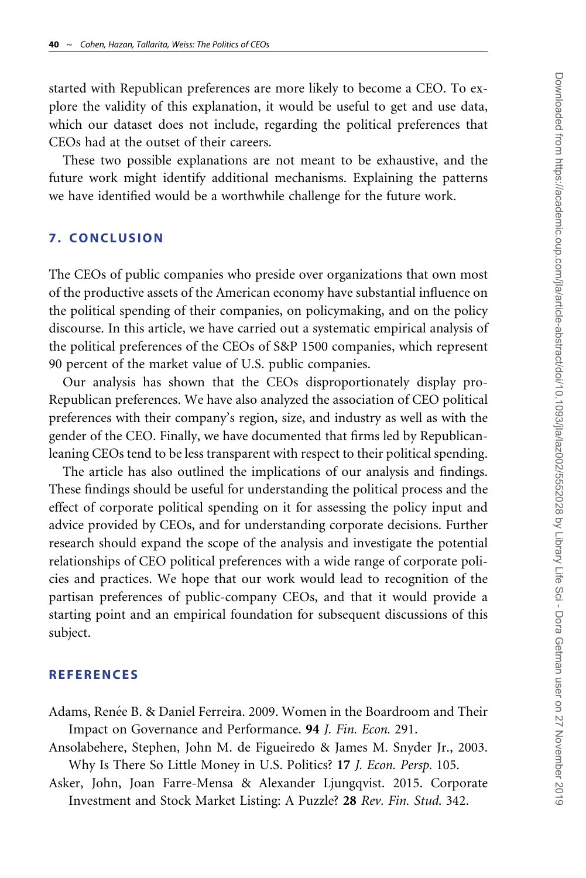<span id="page-40-0"></span>started with Republican preferences are more likely to become a CEO. To explore the validity of this explanation, it would be useful to get and use data, which our dataset does not include, regarding the political preferences that CEOs had at the outset of their careers.

These two possible explanations are not meant to be exhaustive, and the future work might identify additional mechanisms. Explaining the patterns we have identified would be a worthwhile challenge for the future work.

# 7. CONCLUSION

The CEOs of public companies who preside over organizations that own most of the productive assets of the American economy have substantial influence on the political spending of their companies, on policymaking, and on the policy discourse. In this article, we have carried out a systematic empirical analysis of the political preferences of the CEOs of S&P 1500 companies, which represent 90 percent of the market value of U.S. public companies.

Our analysis has shown that the CEOs disproportionately display pro-Republican preferences. We have also analyzed the association of CEO political preferences with their company's region, size, and industry as well as with the gender of the CEO. Finally, we have documented that firms led by Republicanleaning CEOs tend to be less transparent with respect to their political spending.

The article has also outlined the implications of our analysis and findings. These findings should be useful for understanding the political process and the effect of corporate political spending on it for assessing the policy input and advice provided by CEOs, and for understanding corporate decisions. Further research should expand the scope of the analysis and investigate the potential relationships of CEO political preferences with a wide range of corporate policies and practices. We hope that our work would lead to recognition of the partisan preferences of public-company CEOs, and that it would provide a starting point and an empirical foundation for subsequent discussions of this subject.

# REFERENCES

- Adams, Renée B. & Daniel Ferreira. 2009. Women in the Boardroom and Their Impact on Governance and Performance. 94 J. Fin. Econ. 291.
- Ansolabehere, Stephen, John M. de Figueiredo & James M. Snyder Jr., 2003. Why Is There So Little Money in U.S. Politics? 17 J. Econ. Persp. 105.
- Asker, John, Joan Farre-Mensa & Alexander Ljungqvist. 2015. Corporate Investment and Stock Market Listing: A Puzzle? 28 Rev. Fin. Stud. 342.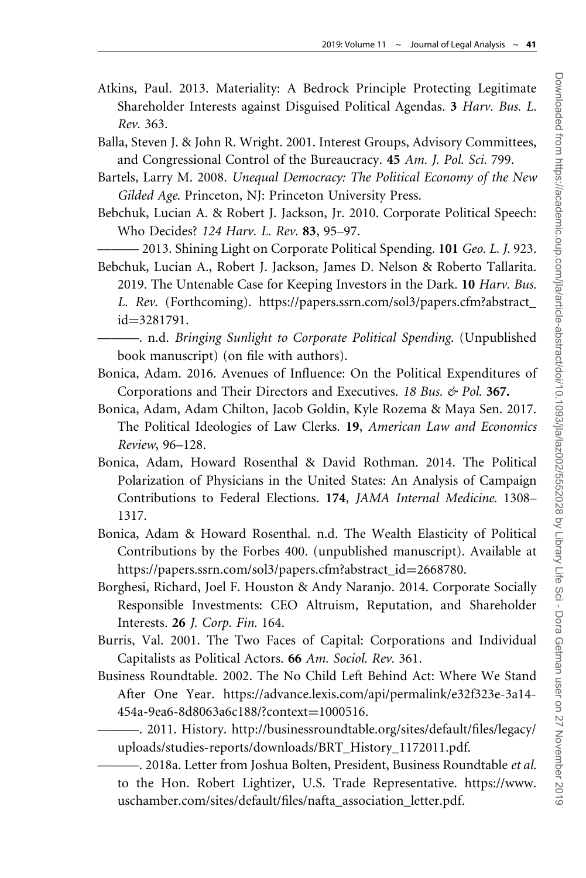- <span id="page-41-0"></span>Atkins, Paul. 2013. Materiality: A Bedrock Principle Protecting Legitimate Shareholder Interests against Disguised Political Agendas. 3 Harv. Bus. L. Rev. 363.
- Balla, Steven J. & John R. Wright. 2001. Interest Groups, Advisory Committees, and Congressional Control of the Bureaucracy. 45 Am. J. Pol. Sci. 799.
- Bartels, Larry M. 2008. Unequal Democracy: The Political Economy of the New Gilded Age. Princeton, NJ: Princeton University Press.
- Bebchuk, Lucian A. & Robert J. Jackson, Jr. 2010. Corporate Political Speech: Who Decides? 124 Harv. L. Rev. 83, 95–97.

-2013. Shining Light on Corporate Political Spending. 101 Geo. L. J. 923.

Bebchuk, Lucian A., Robert J. Jackson, James D. Nelson & Roberto Tallarita. 2019. The Untenable Case for Keeping Investors in the Dark. 10 Harv. Bus. L. Rev. (Forthcoming). [https://papers.ssrn.com/sol3/papers.cfm?abstract\\_](https://papers.ssrn.com/sol3/papers.cfm?abstract_id=3281791)  $id = 3281791.$  $id = 3281791.$  $id = 3281791.$  $id = 3281791.$ 

———. n.d. Bringing Sunlight to Corporate Political Spending. (Unpublished book manuscript) (on file with authors).

- Bonica, Adam. 2016. Avenues of Influence: On the Political Expenditures of Corporations and Their Directors and Executives. 18 Bus. & Pol. 367.
- Bonica, Adam, Adam Chilton, Jacob Goldin, Kyle Rozema & Maya Sen. 2017. The Political Ideologies of Law Clerks. 19, American Law and Economics Review, 96–128.
- Bonica, Adam, Howard Rosenthal & David Rothman. 2014. The Political Polarization of Physicians in the United States: An Analysis of Campaign Contributions to Federal Elections. 174, JAMA Internal Medicine. 1308– 1317.
- Bonica, Adam & Howard Rosenthal. n.d. The Wealth Elasticity of Political Contributions by the Forbes 400. (unpublished manuscript). Available at [https://papers.ssrn.com/sol3/papers.cfm?abstract\\_id](https://papers.ssrn.com/sol3/papers.cfm?abstract_id=2668780)=[2668780](https://papers.ssrn.com/sol3/papers.cfm?abstract_id=2668780).
- Borghesi, Richard, Joel F. Houston & Andy Naranjo. 2014. Corporate Socially Responsible Investments: CEO Altruism, Reputation, and Shareholder Interests. 26 J. Corp. Fin. 164.
- Burris, Val. 2001. The Two Faces of Capital: Corporations and Individual Capitalists as Political Actors. 66 Am. Sociol. Rev. 361.
- Business Roundtable. 2002. The No Child Left Behind Act: Where We Stand After One Year. [https://advance.lexis.com/api/permalink/e32f323e-3a14-](https://advance.lexis.com/api/permalink/e32f323e-3a14-454a-9ea6-8d8063a6c188/?context=1000516) [454a-9ea6-8d8063a6c188/?context](https://advance.lexis.com/api/permalink/e32f323e-3a14-454a-9ea6-8d8063a6c188/?context=1000516)=[1000516.](https://advance.lexis.com/api/permalink/e32f323e-3a14-454a-9ea6-8d8063a6c188/?context=1000516)
	- ———. 2011. History. [http://businessroundtable.org/sites/default/files/legacy/](http://businessroundtable.org/sites/default/files/legacy/uploads/studies-reports/downloads/BRT_History_1172011.pdf) [uploads/studies-reports/downloads/BRT\\_History\\_1172011.pdf](http://businessroundtable.org/sites/default/files/legacy/uploads/studies-reports/downloads/BRT_History_1172011.pdf).

-. 2018a. Letter from Joshua Bolten, President, Business Roundtable et al. to the Hon. Robert Lightizer, U.S. Trade Representative. [https://www.](https://www.uschamber.com/sites/default/files/nafta_association_letter.pdf) [uschamber.com/sites/default/files/nafta\\_association\\_letter.pdf.](https://www.uschamber.com/sites/default/files/nafta_association_letter.pdf)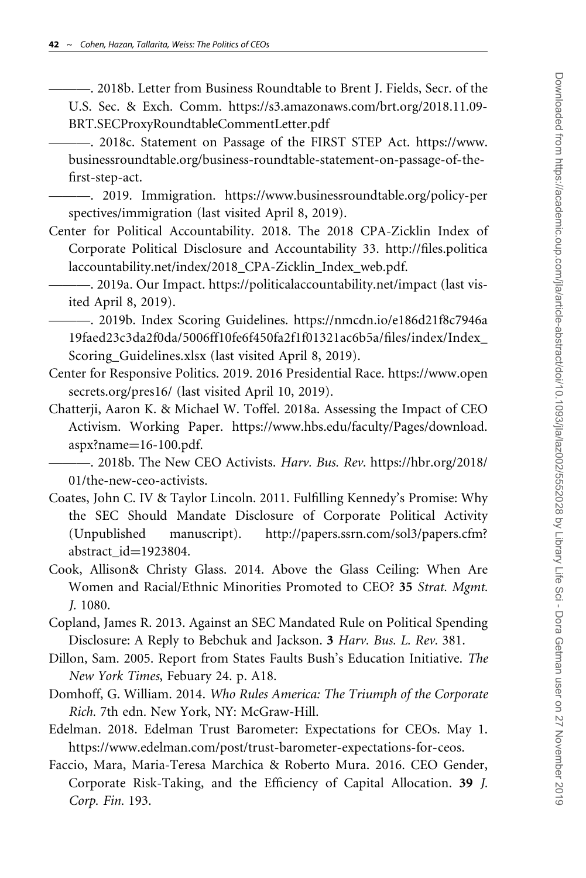<span id="page-42-0"></span>———. 2018b. Letter from Business Roundtable to Brent J. Fields, Secr. of the U.S. Sec. & Exch. Comm. [https://s3.amazonaws.com/brt.org/2018.11.09-](https://s3.amazonaws.com/brt.org/2018.11.09-BRT.SECProxyRoundtableCommentLetter.pdf) [BRT.SECProxyRoundtableCommentLetter.pdf](https://s3.amazonaws.com/brt.org/2018.11.09-BRT.SECProxyRoundtableCommentLetter.pdf)

———. 2018c. Statement on Passage of the FIRST STEP Act. [https://www.](https://www.businessroundtable.org/business-roundtable-statement-on-passage-of-the-first-step-act) [businessroundtable.org/business-roundtable-statement-on-passage-of-the](https://www.businessroundtable.org/business-roundtable-statement-on-passage-of-the-first-step-act)[first-step-act](https://www.businessroundtable.org/business-roundtable-statement-on-passage-of-the-first-step-act).

———. 2019. Immigration. [https://www.businessroundtable.org/policy-per](https://www.businessroundtable.org/policy-perspectives/immigration) [spectives/immigration](https://www.businessroundtable.org/policy-perspectives/immigration) (last visited April 8, 2019).

Center for Political Accountability. 2018. The 2018 CPA-Zicklin Index of Corporate Political Disclosure and Accountability 33. [http://files.politica](http://files.politicalaccountability.net/index/2018_CPA-Zicklin_Index_web.pdf) [laccountability.net/index/2018\\_CPA-Zicklin\\_Index\\_web.pdf.](http://files.politicalaccountability.net/index/2018_CPA-Zicklin_Index_web.pdf)

———. 2019a. Our Impact.<https://politicalaccountability.net/impact> (last visited April 8, 2019).

———. 2019b. Index Scoring Guidelines. [https://nmcdn.io/e186d21f8c7946a](https://nmcdn.io/e186d21f8c7946a19faed23c3da2f0da/5006ff10fe6f450fa2f1f01321ac6b5a/files/index/Index_Scoring_Guidelines.xlsx) [19faed23c3da2f0da/5006ff10fe6f450fa2f1f01321ac6b5a/files/index/Index\\_](https://nmcdn.io/e186d21f8c7946a19faed23c3da2f0da/5006ff10fe6f450fa2f1f01321ac6b5a/files/index/Index_Scoring_Guidelines.xlsx) [Scoring\\_Guidelines.xlsx](https://nmcdn.io/e186d21f8c7946a19faed23c3da2f0da/5006ff10fe6f450fa2f1f01321ac6b5a/files/index/Index_Scoring_Guidelines.xlsx) (last visited April 8, 2019).

- Center for Responsive Politics. 2019. 2016 Presidential Race. [https://www.open](https://www.opensecrets.org/pres16/) [secrets.org/pres16/](https://www.opensecrets.org/pres16/) (last visited April 10, 2019).
- Chatterji, Aaron K. & Michael W. Toffel. 2018a. Assessing the Impact of CEO Activism. Working Paper. [https://www.hbs.edu/faculty/Pages/download.](https://www.hbs.edu/faculty/Pages/download.aspx?name=16-100.pdf) [aspx?name](https://www.hbs.edu/faculty/Pages/download.aspx?name=16-100.pdf)=[16-100.pdf.](https://www.hbs.edu/faculty/Pages/download.aspx?name=16-100.pdf)

———. 2018b. The New CEO Activists. Harv. Bus. Rev. [https://hbr.org/2018/](https://hbr.org/2018/01/the-new-ceo-activists) [01/the-new-ceo-activists](https://hbr.org/2018/01/the-new-ceo-activists).

- Coates, John C. IV & Taylor Lincoln. 2011. Fulfilling Kennedy's Promise: Why the SEC Should Mandate Disclosure of Corporate Political Activity (Unpublished manuscript). http://papers.ssrn.com/sol3/papers.cfm? abstract\_id=1923804.
- Cook, Allison& Christy Glass. 2014. Above the Glass Ceiling: When Are Women and Racial/Ethnic Minorities Promoted to CEO? 35 Strat. Mgmt. J. 1080.

Copland, James R. 2013. Against an SEC Mandated Rule on Political Spending Disclosure: A Reply to Bebchuk and Jackson. 3 Harv. Bus. L. Rev. 381.

Dillon, Sam. 2005. Report from States Faults Bush's Education Initiative. The New York Times, Febuary 24. p. A18.

Domhoff, G. William. 2014. Who Rules America: The Triumph of the Corporate Rich. 7th edn. New York, NY: McGraw-Hill.

- Edelman. 2018. Edelman Trust Barometer: Expectations for CEOs. May 1. [https://www.edelman.com/post/trust-barometer-expectations-for-ceos.](https://www.edelman.com/post/trust-barometer-expectations-for-ceos)
- Faccio, Mara, Maria-Teresa Marchica & Roberto Mura. 2016. CEO Gender, Corporate Risk-Taking, and the Efficiency of Capital Allocation. 39 J. Corp. Fin. 193.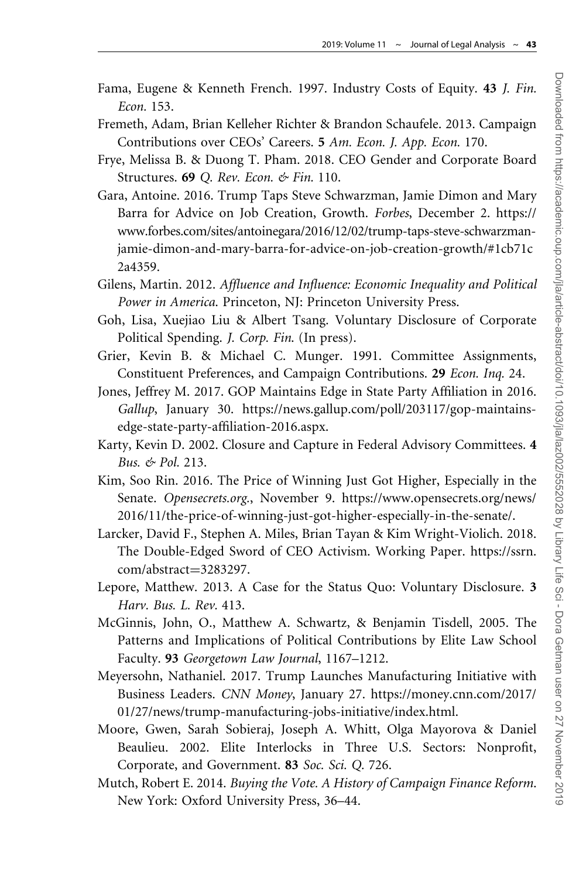- <span id="page-43-0"></span>Fama, Eugene & Kenneth French. 1997. Industry Costs of Equity. 43 J. Fin. Econ. 153.
- Fremeth, Adam, Brian Kelleher Richter & Brandon Schaufele. 2013. Campaign Contributions over CEOs' Careers. 5 Am. Econ. J. App. Econ. 170.
- Frye, Melissa B. & Duong T. Pham. 2018. CEO Gender and Corporate Board Structures. 69 Q. Rev. Econ. & Fin. 110.
- Gara, Antoine. 2016. Trump Taps Steve Schwarzman, Jamie Dimon and Mary Barra for Advice on Job Creation, Growth. Forbes, December 2. [https://](https://www.forbes.com/sites/antoinegara/2016/12/02/trump-taps-steve-schwarzman-jamie-dimon-and-mary-barra-for-advice-on-job-creation-growth/#1cb71c2a4359) [www.forbes.com/sites/antoinegara/2016/12/02/trump-taps-steve-schwarzman](https://www.forbes.com/sites/antoinegara/2016/12/02/trump-taps-steve-schwarzman-jamie-dimon-and-mary-barra-for-advice-on-job-creation-growth/#1cb71c2a4359)[jamie-dimon-and-mary-barra-for-advice-on-job-creation-growth/#1cb71c](https://www.forbes.com/sites/antoinegara/2016/12/02/trump-taps-steve-schwarzman-jamie-dimon-and-mary-barra-for-advice-on-job-creation-growth/#1cb71c2a4359) [2a4359](https://www.forbes.com/sites/antoinegara/2016/12/02/trump-taps-steve-schwarzman-jamie-dimon-and-mary-barra-for-advice-on-job-creation-growth/#1cb71c2a4359).
- Gilens, Martin. 2012. Affluence and Influence: Economic Inequality and Political Power in America. Princeton, NJ: Princeton University Press.
- Goh, Lisa, Xuejiao Liu & Albert Tsang. Voluntary Disclosure of Corporate Political Spending. J. Corp. Fin. (In press).
- Grier, Kevin B. & Michael C. Munger. 1991. Committee Assignments, Constituent Preferences, and Campaign Contributions. 29 Econ. Inq. 24.
- Jones, Jeffrey M. 2017. GOP Maintains Edge in State Party Affiliation in 2016. Gallup, January 30. [https://news.gallup.com/poll/203117/gop-maintains](https://news.gallup.com/poll/203117/gop-maintains-edge-state-party-affiliation-2016.aspx)[edge-state-party-affiliation-2016.aspx.](https://news.gallup.com/poll/203117/gop-maintains-edge-state-party-affiliation-2016.aspx)
- Karty, Kevin D. 2002. Closure and Capture in Federal Advisory Committees. 4 Bus. & Pol. 213.
- Kim, Soo Rin. 2016. The Price of Winning Just Got Higher, Especially in the Senate. Opensecrets.org., November 9. [https://www.opensecrets.org/news/](https://www.opensecrets.org/news/2016/11/the-price-of-winning-just-got-higher-especially-in-the-senate/) [2016/11/the-price-of-winning-just-got-higher-especially-in-the-senate/](https://www.opensecrets.org/news/2016/11/the-price-of-winning-just-got-higher-especially-in-the-senate/).
- Larcker, David F., Stephen A. Miles, Brian Tayan & Kim Wright-Violich. 2018. The Double-Edged Sword of CEO Activism. Working Paper. [https://ssrn.](https://ssrn.com/abstract=3283297)  $com/abstract = 3283297.$  $com/abstract = 3283297.$  $com/abstract = 3283297.$
- Lepore, Matthew. 2013. A Case for the Status Quo: Voluntary Disclosure. 3 Harv. Bus. L. Rev. 413.
- McGinnis, John, O., Matthew A. Schwartz, & Benjamin Tisdell, 2005. The Patterns and Implications of Political Contributions by Elite Law School Faculty. 93 Georgetown Law Journal, 1167–1212.
- Meyersohn, Nathaniel. 2017. Trump Launches Manufacturing Initiative with Business Leaders. CNN Money, January 27. [https://money.cnn.com/2017/](https://money.cnn.com/2017/01/27/news/trump-manufacturing-jobs-initiative/index.html) [01/27/news/trump-manufacturing-jobs-initiative/index.html.](https://money.cnn.com/2017/01/27/news/trump-manufacturing-jobs-initiative/index.html)
- Moore, Gwen, Sarah Sobieraj, Joseph A. Whitt, Olga Mayorova & Daniel Beaulieu. 2002. Elite Interlocks in Three U.S. Sectors: Nonprofit, Corporate, and Government. 83 Soc. Sci. Q. 726.
- Mutch, Robert E. 2014. Buying the Vote. A History of Campaign Finance Reform. New York: Oxford University Press, 36–44.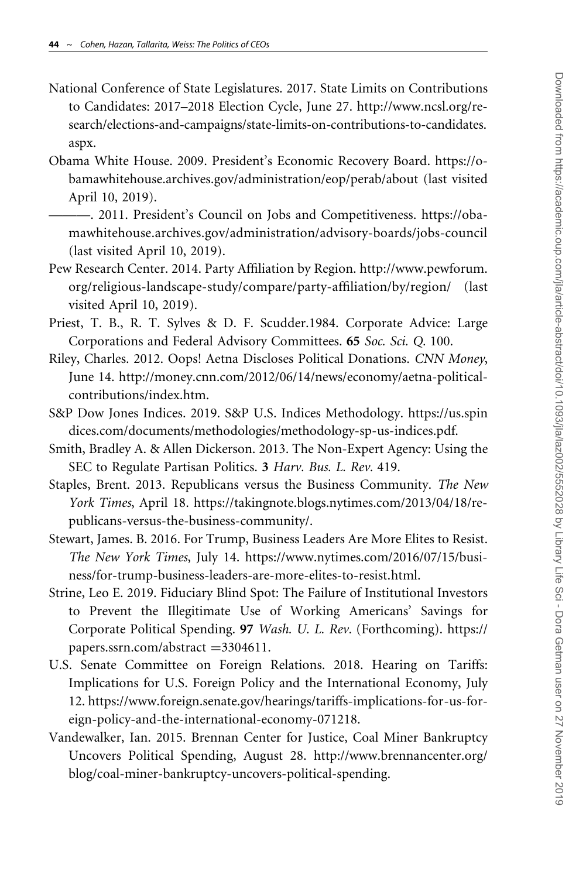- <span id="page-44-0"></span>National Conference of State Legislatures. 2017. State Limits on Contributions to Candidates: 2017–2018 Election Cycle, June 27. [http://www.ncsl.org/re](http://www.ncsl.org/research/elections-and-campaigns/state-limits-on-contributions-to-candidates.aspx)[search/elections-and-campaigns/state-limits-on-contributions-to-candidates.](http://www.ncsl.org/research/elections-and-campaigns/state-limits-on-contributions-to-candidates.aspx) [aspx](http://www.ncsl.org/research/elections-and-campaigns/state-limits-on-contributions-to-candidates.aspx).
- Obama White House. 2009. President's Economic Recovery Board. [https://o](https://obamawhitehouse.archives.gov/administration/advisory-boards/jobs-council)[bamawhitehouse.archives.gov/administration/eop/perab/about](https://obamawhitehouse.archives.gov/administration/advisory-boards/jobs-council) (last visited April 10, 2019).
	- -. 2011. President's Council on Jobs and Competitiveness. [https://oba](https://obamawhitehouse.archives.gov/administration/eop/perab/about)[mawhitehouse.archives.gov/administration/advisory-boards/jobs-council](https://obamawhitehouse.archives.gov/administration/eop/perab/about) (last visited April 10, 2019).
- Pew Research Center. 2014. Party Affiliation by Region. [http://www.pewforum.](http://www.pewforum.org/religious-landscape-study/compare/party-affiliation/by/region/) [org/religious-landscape-study/compare/party-affiliation/by/region/](http://www.pewforum.org/religious-landscape-study/compare/party-affiliation/by/region/) (last visited April 10, 2019).
- Priest, T. B., R. T. Sylves & D. F. Scudder.1984. Corporate Advice: Large Corporations and Federal Advisory Committees. 65 Soc. Sci. Q. 100.
- Riley, Charles. 2012. Oops! Aetna Discloses Political Donations. CNN Money, June 14. [http://money.cnn.com/2012/06/14/news/economy/aetna-political](http://money.cnn.com/2012/06/14/news/economy/aetna-political-contributions/index.htm)[contributions/index.htm.](http://money.cnn.com/2012/06/14/news/economy/aetna-political-contributions/index.htm)
- S&P Dow Jones Indices. 2019. S&P U.S. Indices Methodology. [https://us.spin](https://us.spindices.com/documents/methodologies/methodology-sp-us-indices.pdf) [dices.com/documents/methodologies/methodology-sp-us-indices.pdf.](https://us.spindices.com/documents/methodologies/methodology-sp-us-indices.pdf)
- Smith, Bradley A. & Allen Dickerson. 2013. The Non-Expert Agency: Using the SEC to Regulate Partisan Politics. 3 Harv. Bus. L. Rev. 419.
- Staples, Brent. 2013. Republicans versus the Business Community. The New York Times, April 18. [https://takingnote.blogs.nytimes.com/2013/04/18/re](https://takingnote.blogs.nytimes.com/2013/04/18/republicans-versus-the-business-community/)[publicans-versus-the-business-community/.](https://takingnote.blogs.nytimes.com/2013/04/18/republicans-versus-the-business-community/)
- Stewart, James. B. 2016. For Trump, Business Leaders Are More Elites to Resist. The New York Times, July 14. [https://www.nytimes.com/2016/07/15/busi](https://www.nytimes.com/2016/07/15/business/for-trump-business-leaders-are-more-elites-to-resist.html)[ness/for-trump-business-leaders-are-more-elites-to-resist.html](https://www.nytimes.com/2016/07/15/business/for-trump-business-leaders-are-more-elites-to-resist.html).
- Strine, Leo E. 2019. Fiduciary Blind Spot: The Failure of Institutional Investors to Prevent the Illegitimate Use of Working Americans' Savings for Corporate Political Spending. 97 Wash. U. L. Rev. (Forthcoming). [https://](https://papers.ssrn.com/abstract=3304611) [papers.ssrn.com/abstract](https://papers.ssrn.com/abstract=3304611)  $=$  [3304611](https://papers.ssrn.com/abstract=3304611).
- U.S. Senate Committee on Foreign Relations. 2018. Hearing on Tariffs: Implications for U.S. Foreign Policy and the International Economy, July 12. [https://www.foreign.senate.gov/hearings/tariffs-implications-for-us-for](https://www.foreign.senate.gov/hearings/tariffs-implications-for-us-foreign-policy-and-the-international-economy-071218)[eign-policy-and-the-international-economy-071218.](https://www.foreign.senate.gov/hearings/tariffs-implications-for-us-foreign-policy-and-the-international-economy-071218)
- Vandewalker, Ian. 2015. Brennan Center for Justice, Coal Miner Bankruptcy Uncovers Political Spending, August 28. [http://www.brennancenter.org/](http://www.brennancenter.org/blog/coal-miner-bankruptcy-uncovers-political-spending) [blog/coal-miner-bankruptcy-uncovers-political-spending.](http://www.brennancenter.org/blog/coal-miner-bankruptcy-uncovers-political-spending)